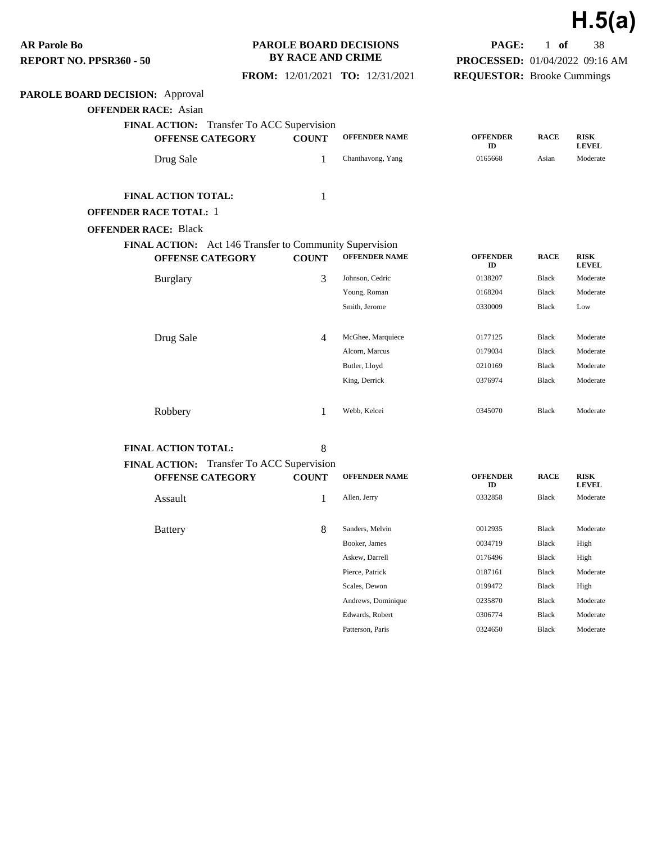**PAROLE BOARD DECISION:** Approval **OFFENDER RACE:** Asian **FINAL ACTION:** Transfer To ACC Supervision **OFFENSE CATEGORY COUNT OFFENDER NAME OFFENDER ID RACE RISK LEVEL** Drug Sale 1 Chanthavong, Yang 0165668 Asian Moderate **FINAL ACTION TOTAL:** 1 **OFFENDER RACE TOTAL:** 1 **OFFENDER RACE:** Black **FINAL ACTION:** Act 146 Transfer to Community Supervision **OFFENSE CATEGORY COUNT OFFENDER NAME OFFENDER ID RACE RISK LEVEL** Burglary 6138207 Black Moderate 3 Johnson, Cedric 6138207 Black Moderate Young, Roman 0168204 Black Moderate Smith, Jerome 0330009 Black Low **Drug Sale 4** McGhee, Marquiece **0177125** Black Moderate Alcorn, Marcus 0179034 Black Moderate Butler, Lloyd 0210169 Black Moderate King, Derrick 0376974 Black Moderate Robbery 1 Webb, Kelcei 0345070 Black Moderate **FINAL ACTION TOTAL:** 8 **FINAL ACTION:** Transfer To ACC Supervision **OFFENSE CATEGORY COUNT OFFENDER NAME OFFENDER ID RACE RISK LEVEL** Assault 1 Allen, Jerry 0332858 Black Moderate Battery **8** Sanders, Melvin 0012935 Black Moderate Booker, James 0034719 Black High **AR Parole Bo REPORT NO. PPSR360 - 50 PAROLE BOARD DECISIONS BY RACE AND CRIME FROM:** 12/01/2021 **TO:** 12/31/2021 **PAGE:** 1 **of** 38 **PROCESSED:** 01/04/2022 09:16 AM **REQUESTOR:** Brooke Cummings

> Askew, Darrell 0176496 Black High Pierce, Patrick 0187161 Black Moderate Scales, Dewon 0199472 Black High Andrews, Dominique 0235870 Black Moderate Edwards, Robert 0306774 Black Moderate Patterson, Paris 0324650 Black Moderate

**H.5(a)**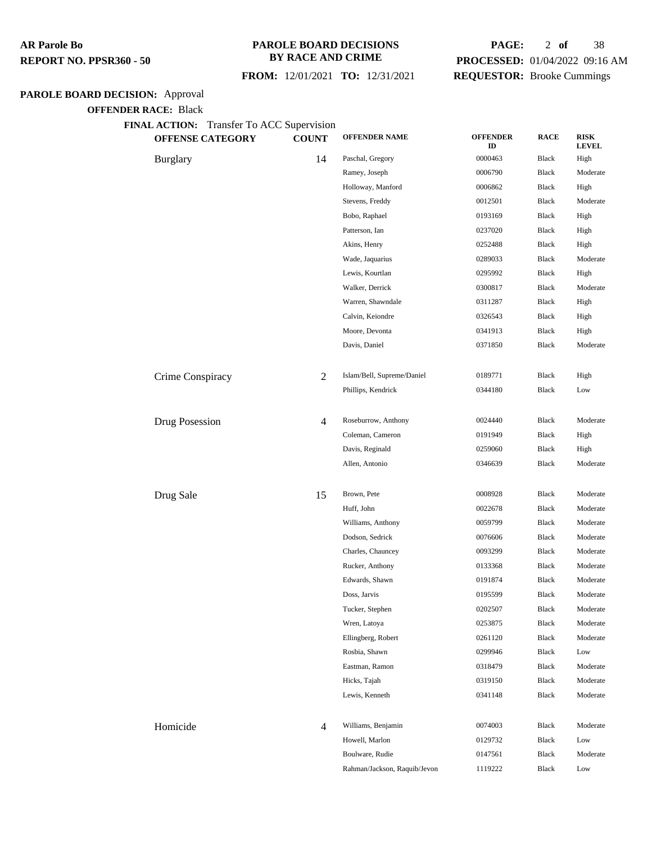#### **PAROLE BOARD DECISIONS BY RACE AND CRIME**

 **FROM:** 12/01/2021 **TO:** 12/31/2021

# **PAGE:** 2 **of** 38 **PROCESSED:** 01/04/2022 09:16 AM **REQUESTOR:** Brooke Cummings

# **PAROLE BOARD DECISION:** Approval

**OFFENDER RACE:** Black

**FINAL ACTION:** Transfer To ACC Supervision

| <b>OFFENSE CATEGORY</b> | <b>COUNT</b>   | <b>OFFENDER NAME</b>         | <b>OFFENDER</b><br>ID | <b>RACE</b>  | <b>RISK</b><br><b>LEVEL</b> |
|-------------------------|----------------|------------------------------|-----------------------|--------------|-----------------------------|
| <b>Burglary</b>         | 14             | Paschal, Gregory             | 0000463               | Black        | High                        |
|                         |                | Ramey, Joseph                | 0006790               | <b>Black</b> | Moderate                    |
|                         |                | Holloway, Manford            | 0006862               | Black        | High                        |
|                         |                | Stevens, Freddy              | 0012501               | Black        | Moderate                    |
|                         |                | Bobo, Raphael                | 0193169               | <b>Black</b> | High                        |
|                         |                | Patterson, Ian               | 0237020               | Black        | High                        |
|                         |                | Akins, Henry                 | 0252488               | Black        | High                        |
|                         |                | Wade, Jaquarius              | 0289033               | Black        | Moderate                    |
|                         |                | Lewis, Kourtlan              | 0295992               | <b>Black</b> | High                        |
|                         |                | Walker, Derrick              | 0300817               | <b>Black</b> | Moderate                    |
|                         |                | Warren, Shawndale            | 0311287               | Black        | High                        |
|                         |                | Calvin, Keiondre             | 0326543               | Black        | High                        |
|                         |                | Moore, Devonta               | 0341913               | Black        | High                        |
|                         |                | Davis, Daniel                | 0371850               | Black        | Moderate                    |
|                         |                |                              |                       |              |                             |
| Crime Conspiracy        | 2              | Islam/Bell, Supreme/Daniel   | 0189771               | Black        | High                        |
|                         |                | Phillips, Kendrick           | 0344180               | Black        | Low                         |
|                         |                |                              |                       |              |                             |
| Drug Posession          | 4              | Roseburrow, Anthony          | 0024440               | <b>Black</b> | Moderate                    |
|                         |                | Coleman, Cameron             | 0191949               | Black        | High                        |
|                         |                | Davis, Reginald              | 0259060               | Black        | High                        |
|                         |                | Allen, Antonio               | 0346639               | Black        | Moderate                    |
|                         |                |                              |                       |              |                             |
| Drug Sale               | 15             | Brown, Pete                  | 0008928               | <b>Black</b> | Moderate                    |
|                         |                | Huff, John                   | 0022678               | <b>Black</b> | Moderate                    |
|                         |                | Williams, Anthony            | 0059799               | <b>Black</b> | Moderate                    |
|                         |                | Dodson, Sedrick              | 0076606               | Black        | Moderate                    |
|                         |                | Charles, Chauncey            | 0093299               | Black        | Moderate                    |
|                         |                | Rucker, Anthony              | 0133368               | Black        | Moderate                    |
|                         |                | Edwards, Shawn               | 0191874               | <b>Black</b> | Moderate                    |
|                         |                | Doss, Jarvis                 | 0195599               | <b>Black</b> | Moderate                    |
|                         |                | Tucker, Stephen              | 0202507               | Black        | Moderate                    |
|                         |                | Wren, Latoya                 | 0253875               | Black        | Moderate                    |
|                         |                | Ellingberg, Robert           | 0261120               | Black        | Moderate                    |
|                         |                | Rosbia, Shawn                | 0299946               | Black        | Low                         |
|                         |                | Eastman, Ramon               | 0318479               | Black        | Moderate                    |
|                         |                | Hicks, Tajah                 | 0319150               | <b>Black</b> | Moderate                    |
|                         |                | Lewis, Kenneth               | 0341148               | <b>Black</b> | Moderate                    |
|                         |                |                              |                       |              |                             |
| Homicide                | $\overline{4}$ | Williams, Benjamin           | 0074003               | Black        | Moderate                    |
|                         |                | Howell, Marlon               | 0129732               | <b>Black</b> | Low                         |
|                         |                | Boulware, Rudie              | 0147561               | Black        | Moderate                    |
|                         |                | Rahman/Jackson, Raquib/Jevon | 1119222               | Black        | Low                         |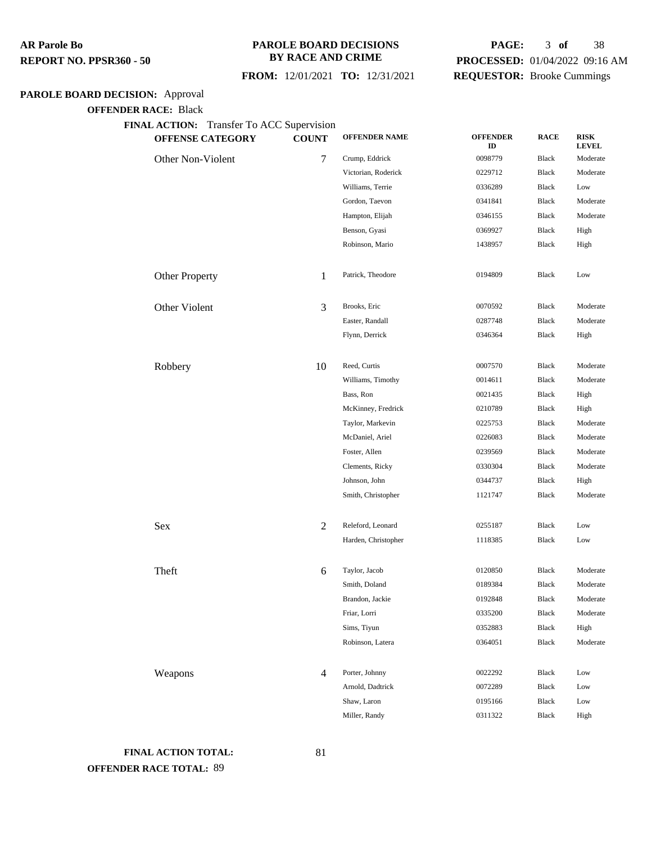#### **PAROLE BOARD DECISIONS BY RACE AND CRIME**

#### **FROM:** 12/01/2021 **TO:** 12/31/2021

# **PAGE:** 3 **of** 38 **PROCESSED:** 01/04/2022 09:16 AM **REQUESTOR:** Brooke Cummings

# **PAROLE BOARD DECISION:** Approval

**OFFENDER RACE:** Black

**FINAL ACTION:** Transfer To ACC Supervision

| <b>OFFENSE CATEGORY</b> | <b>COUNT</b>   | <b>OFFENDER NAME</b> | <b>OFFENDER</b><br>ID | <b>RACE</b>  | <b>RISK</b><br><b>LEVEL</b> |
|-------------------------|----------------|----------------------|-----------------------|--------------|-----------------------------|
| Other Non-Violent       | 7              | Crump, Eddrick       | 0098779               | Black        | Moderate                    |
|                         |                | Victorian, Roderick  | 0229712               | <b>Black</b> | Moderate                    |
|                         |                | Williams, Terrie     | 0336289               | <b>Black</b> | Low                         |
|                         |                | Gordon, Taevon       | 0341841               | <b>Black</b> | Moderate                    |
|                         |                | Hampton, Elijah      | 0346155               | <b>Black</b> | Moderate                    |
|                         |                | Benson, Gyasi        | 0369927               | <b>Black</b> | High                        |
|                         |                | Robinson, Mario      | 1438957               | Black        | High                        |
| <b>Other Property</b>   | 1              | Patrick, Theodore    | 0194809               | Black        | Low                         |
| Other Violent           | 3              | Brooks, Eric         | 0070592               | Black        | Moderate                    |
|                         |                | Easter, Randall      | 0287748               | <b>Black</b> | Moderate                    |
|                         |                | Flynn, Derrick       | 0346364               | Black        | High                        |
| Robbery                 | 10             | Reed, Curtis         | 0007570               | <b>Black</b> | Moderate                    |
|                         |                | Williams, Timothy    | 0014611               | Black        | Moderate                    |
|                         |                | Bass, Ron            | 0021435               | Black        | High                        |
|                         |                | McKinney, Fredrick   | 0210789               | <b>Black</b> | High                        |
|                         |                | Taylor, Markevin     | 0225753               | <b>Black</b> | Moderate                    |
|                         |                | McDaniel, Ariel      | 0226083               | Black        | Moderate                    |
|                         |                | Foster, Allen        | 0239569               | Black        | Moderate                    |
|                         |                | Clements, Ricky      | 0330304               | <b>Black</b> | Moderate                    |
|                         |                | Johnson, John        | 0344737               | <b>Black</b> | High                        |
|                         |                | Smith, Christopher   | 1121747               | Black        | Moderate                    |
| Sex                     | $\overline{c}$ | Releford, Leonard    | 0255187               | Black        | Low                         |
|                         |                | Harden, Christopher  | 1118385               | Black        | Low                         |
| Theft                   | 6              | Taylor, Jacob        | 0120850               | <b>Black</b> | Moderate                    |
|                         |                | Smith, Doland        | 0189384               | <b>Black</b> | Moderate                    |
|                         |                | Brandon, Jackie      | 0192848               | Black        | Moderate                    |
|                         |                | Friar, Lorri         | 0335200               | Black        | Moderate                    |
|                         |                | Sims, Tiyun          | 0352883               | <b>Black</b> | High                        |
|                         |                | Robinson, Latera     | 0364051               | Black        | Moderate                    |
| Weapons                 | 4              | Porter, Johnny       | 0022292               | Black        | Low                         |
|                         |                | Arnold, Dadtrick     | 0072289               | Black        | Low                         |
|                         |                | Shaw, Laron          | 0195166               | Black        | Low                         |
|                         |                | Miller, Randy        | 0311322               | Black        | High                        |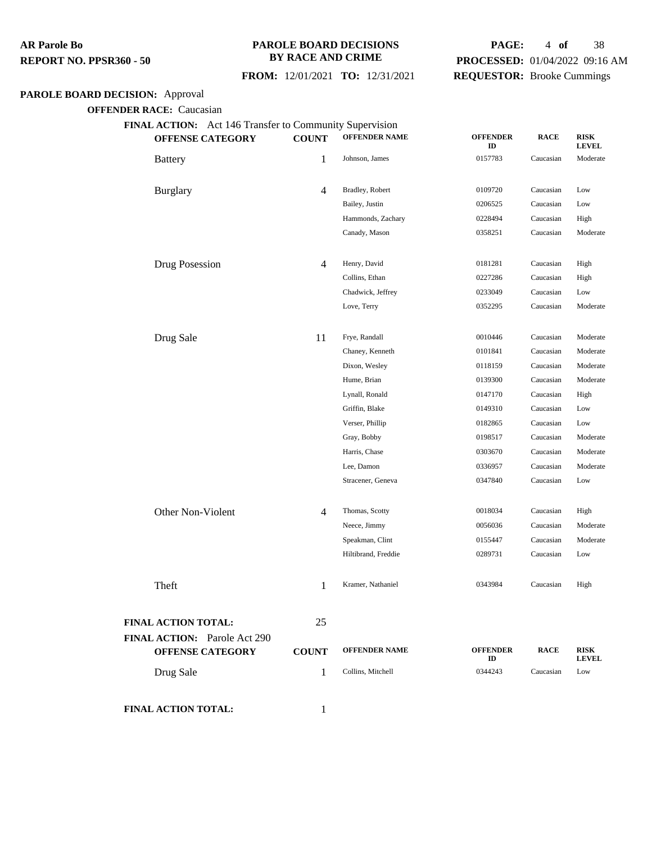#### **PAROLE BOARD DECISIONS BY RACE AND CRIME**

## **FROM:** 12/01/2021 **TO:** 12/31/2021

# **PAGE:** 4 **of** 38 **PROCESSED:** 01/04/2022 09:16 AM **REQUESTOR:** Brooke Cummings

# **PAROLE BOARD DECISION:** Approval

**OFFENDER RACE:** Caucasian

| <b>OFFENSE CATEGORY</b>                                        | <b>COUNT</b>   | <b>OFFENDER NAME</b> | <b>OFFENDER</b><br>ID | <b>RACE</b> | <b>RISK</b><br><b>LEVEL</b> |
|----------------------------------------------------------------|----------------|----------------------|-----------------------|-------------|-----------------------------|
| <b>Battery</b>                                                 | 1              | Johnson, James       | 0157783               | Caucasian   | Moderate                    |
| <b>Burglary</b>                                                | $\overline{4}$ | Bradley, Robert      | 0109720               | Caucasian   | Low                         |
|                                                                |                | Bailey, Justin       | 0206525               | Caucasian   | Low                         |
|                                                                |                | Hammonds, Zachary    | 0228494               | Caucasian   | High                        |
|                                                                |                | Canady, Mason        | 0358251               | Caucasian   | Moderate                    |
| Drug Posession                                                 | 4              | Henry, David         | 0181281               | Caucasian   | High                        |
|                                                                |                | Collins, Ethan       | 0227286               | Caucasian   | High                        |
|                                                                |                | Chadwick, Jeffrey    | 0233049               | Caucasian   | Low                         |
|                                                                |                | Love, Terry          | 0352295               | Caucasian   | Moderate                    |
| Drug Sale                                                      | 11             | Frye, Randall        | 0010446               | Caucasian   | Moderate                    |
|                                                                |                | Chaney, Kenneth      | 0101841               | Caucasian   | Moderate                    |
|                                                                |                | Dixon, Wesley        | 0118159               | Caucasian   | Moderate                    |
|                                                                |                | Hume, Brian          | 0139300               | Caucasian   | Moderate                    |
|                                                                |                | Lynall, Ronald       | 0147170               | Caucasian   | High                        |
|                                                                |                | Griffin, Blake       | 0149310               | Caucasian   | Low                         |
|                                                                |                | Verser, Phillip      | 0182865               | Caucasian   | Low                         |
|                                                                |                | Gray, Bobby          | 0198517               | Caucasian   | Moderate                    |
|                                                                |                | Harris, Chase        | 0303670               | Caucasian   | Moderate                    |
|                                                                |                | Lee, Damon           | 0336957               | Caucasian   | Moderate                    |
|                                                                |                | Stracener, Geneva    | 0347840               | Caucasian   | Low                         |
| Other Non-Violent                                              | 4              | Thomas, Scotty       | 0018034               | Caucasian   | High                        |
|                                                                |                | Neece, Jimmy         | 0056036               | Caucasian   | Moderate                    |
|                                                                |                | Speakman, Clint      | 0155447               | Caucasian   | Moderate                    |
|                                                                |                | Hiltibrand, Freddie  | 0289731               | Caucasian   | Low                         |
| Theft                                                          | 1              | Kramer, Nathaniel    | 0343984               | Caucasian   | High                        |
| <b>FINAL ACTION TOTAL:</b>                                     | 25             |                      |                       |             |                             |
| <b>FINAL ACTION:</b> Parole Act 290<br><b>OFFENSE CATEGORY</b> | <b>COUNT</b>   | <b>OFFENDER NAME</b> | <b>OFFENDER</b><br>ID | <b>RACE</b> | <b>RISK</b><br><b>LEVEL</b> |
| Drug Sale                                                      | 1              | Collins, Mitchell    | 0344243               | Caucasian   | Low                         |

**FINAL ACTION TOTAL:** 1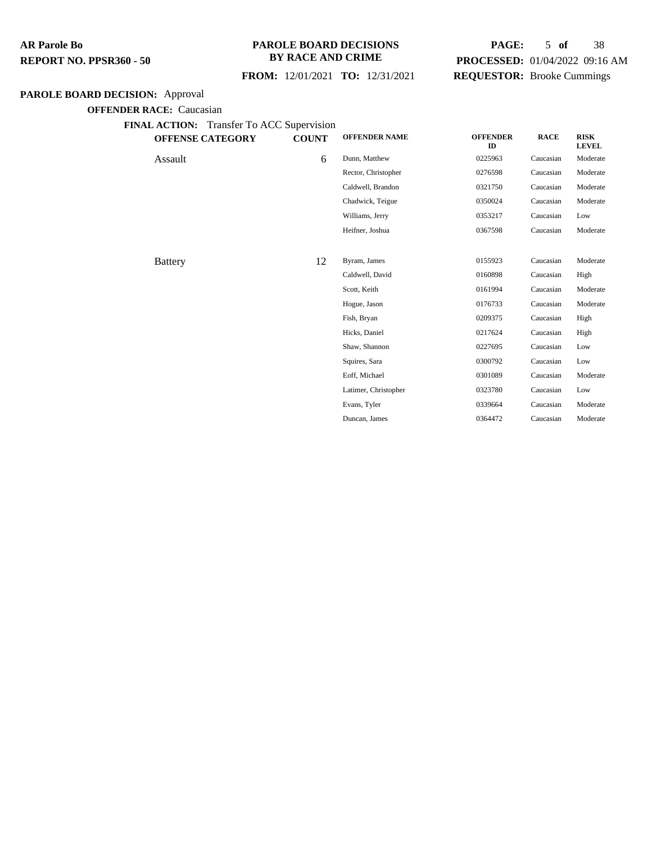#### **PAROLE BOARD DECISIONS BY RACE AND CRIME**

#### **FROM:** 12/01/2021 **TO:** 12/31/2021

# **PAGE:** 5 **of** 38 **PROCESSED:** 01/04/2022 09:16 AM **REQUESTOR:** Brooke Cummings

#### **PAROLE BOARD DECISION:** Approval

| DER RACE, Caucasian<br>Transfer To ACC Supervision<br><b>FINAL ACTION:</b> |              |                      |                       |             |                             |
|----------------------------------------------------------------------------|--------------|----------------------|-----------------------|-------------|-----------------------------|
| <b>OFFENSE CATEGORY</b>                                                    | <b>COUNT</b> | <b>OFFENDER NAME</b> | <b>OFFENDER</b><br>ID | <b>RACE</b> | <b>RISK</b><br><b>LEVEL</b> |
| Assault                                                                    | 6            | Dunn, Matthew        | 0225963               | Caucasian   | Moderate                    |
|                                                                            |              | Rector, Christopher  | 0276598               | Caucasian   | Moderate                    |
|                                                                            |              | Caldwell, Brandon    | 0321750               | Caucasian   | Moderate                    |
|                                                                            |              | Chadwick, Teigue     | 0350024               | Caucasian   | Moderate                    |
|                                                                            |              | Williams, Jerry      | 0353217               | Caucasian   | Low                         |
|                                                                            |              | Heifner, Joshua      | 0367598               | Caucasian   | Moderate                    |
|                                                                            |              |                      |                       |             |                             |
| <b>Battery</b>                                                             | 12           | Byram, James         | 0155923               | Caucasian   | Moderate                    |
|                                                                            |              | Caldwell, David      | 0160898               | Caucasian   | High                        |
|                                                                            |              | Scott, Keith         | 0161994               | Caucasian   | Moderate                    |
|                                                                            |              | Hogue, Jason         | 0176733               | Caucasian   | Moderate                    |
|                                                                            |              | Fish, Bryan          | 0209375               | Caucasian   | High                        |
|                                                                            |              | Hicks, Daniel        | 0217624               | Caucasian   | High                        |
|                                                                            |              | Shaw, Shannon        | 0227695               | Caucasian   | Low                         |
|                                                                            |              | Squires, Sara        | 0300792               | Caucasian   | Low                         |
|                                                                            |              | Eoff, Michael        | 0301089               | Caucasian   | Moderate                    |
|                                                                            |              | Latimer, Christopher | 0323780               | Caucasian   | Low                         |
|                                                                            |              | Evans, Tyler         | 0339664               | Caucasian   | Moderate                    |
|                                                                            |              | Duncan, James        | 0364472               | Caucasian   | Moderate                    |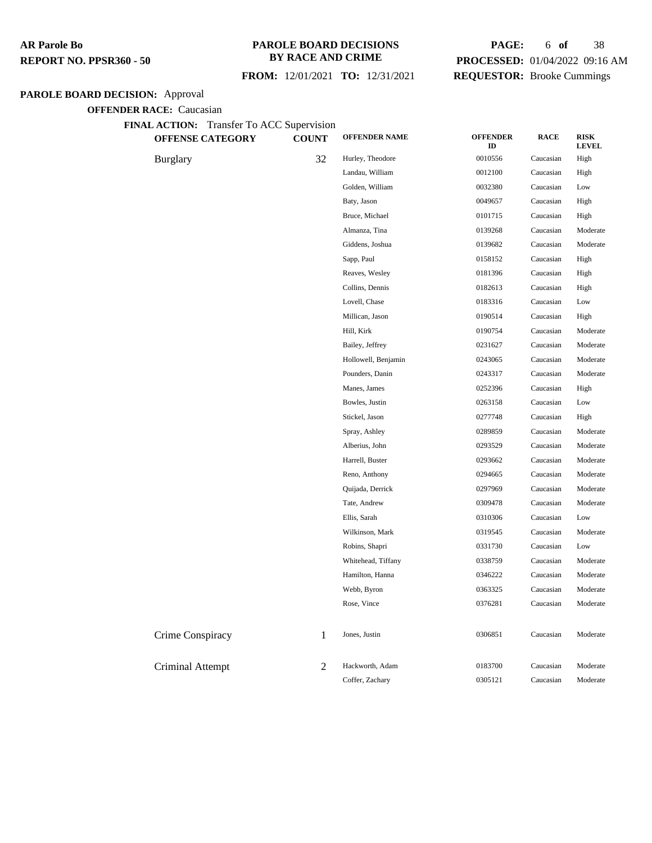#### **PAROLE BOARD DECISIONS BY RACE AND CRIME**

 **FROM:** 12/01/2021 **TO:** 12/31/2021

# **PAGE:** 6 **of** 38 **PROCESSED:** 01/04/2022 09:16 AM **REQUESTOR:** Brooke Cummings

# **PAROLE BOARD DECISION:** Approval

| <b>OFFENSE CATEGORY</b> | <b>COUNT</b> | <b>OFFENDER NAME</b> | <b>OFFENDER</b><br>ID | <b>RACE</b> | <b>RISK</b><br><b>LEVEL</b> |
|-------------------------|--------------|----------------------|-----------------------|-------------|-----------------------------|
| <b>Burglary</b>         | 32           | Hurley, Theodore     | 0010556               | Caucasian   | High                        |
|                         |              | Landau, William      | 0012100               | Caucasian   | High                        |
|                         |              | Golden, William      | 0032380               | Caucasian   | Low                         |
|                         |              | Baty, Jason          | 0049657               | Caucasian   | High                        |
|                         |              | Bruce, Michael       | 0101715               | Caucasian   | High                        |
|                         |              | Almanza, Tina        | 0139268               | Caucasian   | Moderate                    |
|                         |              | Giddens, Joshua      | 0139682               | Caucasian   | Moderate                    |
|                         |              | Sapp, Paul           | 0158152               | Caucasian   | High                        |
|                         |              | Reaves, Wesley       | 0181396               | Caucasian   | High                        |
|                         |              | Collins, Dennis      | 0182613               | Caucasian   | High                        |
|                         |              | Lovell, Chase        | 0183316               | Caucasian   | Low                         |
|                         |              | Millican, Jason      | 0190514               | Caucasian   | High                        |
|                         |              | Hill, Kirk           | 0190754               | Caucasian   | Moderate                    |
|                         |              | Bailey, Jeffrey      | 0231627               | Caucasian   | Moderate                    |
|                         |              | Hollowell, Benjamin  | 0243065               | Caucasian   | Moderate                    |
|                         |              | Pounders, Danin      | 0243317               | Caucasian   | Moderate                    |
|                         |              | Manes, James         | 0252396               | Caucasian   | High                        |
|                         |              | Bowles, Justin       | 0263158               | Caucasian   | Low                         |
|                         |              | Stickel, Jason       | 0277748               | Caucasian   | High                        |
|                         |              | Spray, Ashley        | 0289859               | Caucasian   | Moderate                    |
|                         |              | Alberius, John       | 0293529               | Caucasian   | Moderate                    |
|                         |              | Harrell, Buster      | 0293662               | Caucasian   | Moderate                    |
|                         |              | Reno, Anthony        | 0294665               | Caucasian   | Moderate                    |
|                         |              | Quijada, Derrick     | 0297969               | Caucasian   | Moderate                    |
|                         |              | Tate, Andrew         | 0309478               | Caucasian   | Moderate                    |
|                         |              | Ellis, Sarah         | 0310306               | Caucasian   | Low                         |
|                         |              | Wilkinson, Mark      | 0319545               | Caucasian   | Moderate                    |
|                         |              | Robins, Shapri       | 0331730               | Caucasian   | Low                         |
|                         |              | Whitehead, Tiffany   | 0338759               | Caucasian   | Moderate                    |
|                         |              | Hamilton, Hanna      | 0346222               | Caucasian   | Moderate                    |
|                         |              | Webb, Byron          | 0363325               | Caucasian   | Moderate                    |
|                         |              | Rose, Vince          | 0376281               | Caucasian   | Moderate                    |
| Crime Conspiracy        | 1            | Jones, Justin        | 0306851               | Caucasian   | Moderate                    |
| <b>Criminal Attempt</b> | 2            | Hackworth, Adam      | 0183700               | Caucasian   | Moderate                    |
|                         |              | Coffer, Zachary      | 0305121               | Caucasian   | Moderate                    |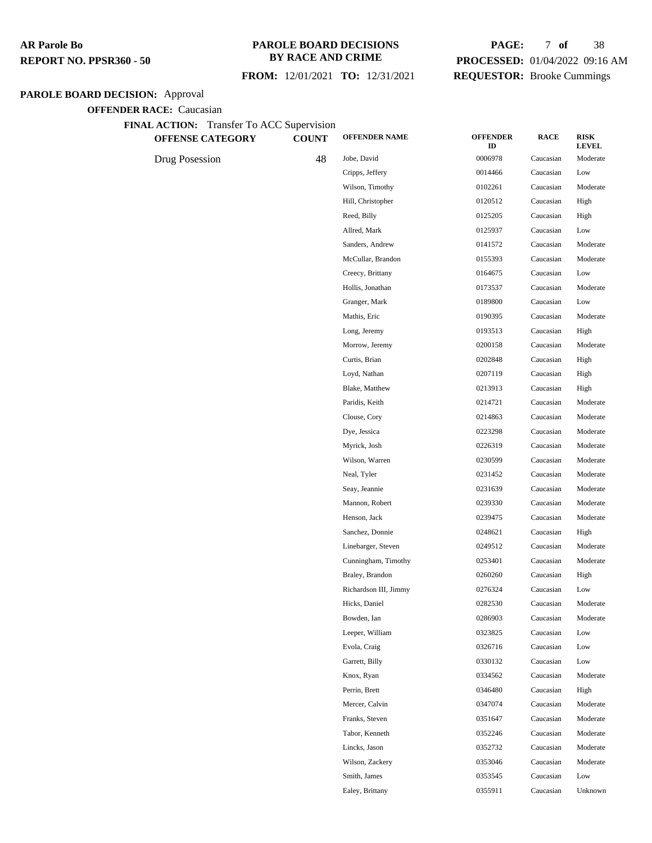#### **PAROLE BOARD DECISIONS BY RACE AND CRIME**

 **FROM:** 12/01/2021 **TO:** 12/31/2021

# **PAGE:** 7 **of** 38 **PROCESSED:** 01/04/2022 09:16 AM **REQUESTOR:** Brooke Cummings

# **PAROLE BOARD DECISION:** Approval

| <b>OFFENSE CATEGORY</b> | <b>COUNT</b> | <b>OFFENDER NAME</b>  | <b>OFFENDER</b><br>ID | <b>RACE</b> | <b>RISK</b><br><b>LEVEL</b> |
|-------------------------|--------------|-----------------------|-----------------------|-------------|-----------------------------|
| Drug Posession          | 48           | Jobe, David           | 0006978               | Caucasian   | Moderate                    |
|                         |              | Cripps, Jeffery       | 0014466               | Caucasian   | Low                         |
|                         |              | Wilson, Timothy       | 0102261               | Caucasian   | Moderate                    |
|                         |              | Hill, Christopher     | 0120512               | Caucasian   | High                        |
|                         |              | Reed, Billy           | 0125205               | Caucasian   | High                        |
|                         |              | Allred, Mark          | 0125937               | Caucasian   | Low                         |
|                         |              | Sanders, Andrew       | 0141572               | Caucasian   | Moderate                    |
|                         |              | McCullar, Brandon     | 0155393               | Caucasian   | Moderate                    |
|                         |              | Creecy, Brittany      | 0164675               | Caucasian   | Low                         |
|                         |              | Hollis, Jonathan      | 0173537               | Caucasian   | Moderate                    |
|                         |              | Granger, Mark         | 0189800               | Caucasian   | Low                         |
|                         |              | Mathis, Eric          | 0190395               | Caucasian   | Moderate                    |
|                         |              | Long, Jeremy          | 0193513               | Caucasian   | High                        |
|                         |              | Morrow, Jeremy        | 0200158               | Caucasian   | Moderate                    |
|                         |              | Curtis, Brian         | 0202848               | Caucasian   | High                        |
|                         |              | Loyd, Nathan          | 0207119               | Caucasian   | High                        |
|                         |              | Blake, Matthew        | 0213913               | Caucasian   | High                        |
|                         |              | Paridis, Keith        | 0214721               | Caucasian   | Moderate                    |
|                         |              | Clouse, Cory          | 0214863               | Caucasian   | Moderate                    |
|                         |              | Dye, Jessica          | 0223298               | Caucasian   | Moderate                    |
|                         |              | Myrick, Josh          | 0226319               | Caucasian   | Moderate                    |
|                         |              | Wilson, Warren        | 0230599               | Caucasian   | Moderate                    |
|                         |              | Neal, Tyler           | 0231452               | Caucasian   | Moderate                    |
|                         |              | Seay, Jeannie         | 0231639               | Caucasian   | Moderate                    |
|                         |              | Mannon, Robert        | 0239330               | Caucasian   | Moderate                    |
|                         |              | Henson, Jack          | 0239475               | Caucasian   | Moderate                    |
|                         |              | Sanchez, Donnie       | 0248621               | Caucasian   | High                        |
|                         |              | Linebarger, Steven    | 0249512               | Caucasian   | Moderate                    |
|                         |              | Cunningham, Timothy   | 0253401               | Caucasian   | Moderate                    |
|                         |              | Braley, Brandon       | 0260260               | Caucasian   | High                        |
|                         |              | Richardson III, Jimmy | 0276324               | Caucasian   | Low                         |
|                         |              | Hicks, Daniel         | 0282530               | Caucasian   | Moderate                    |
|                         |              | Bowden, Ian           | 0286903               | Caucasian   | Moderate                    |
|                         |              | Leeper, William       | 0323825               | Caucasian   | Low                         |
|                         |              | Evola, Craig          | 0326716               | Caucasian   | Low                         |
|                         |              | Garrett, Billy        | 0330132               | Caucasian   | Low                         |
|                         |              | Knox, Ryan            | 0334562               | Caucasian   | Moderate                    |
|                         |              | Perrin, Brett         | 0346480               | Caucasian   | High                        |
|                         |              | Mercer, Calvin        | 0347074               | Caucasian   | Moderate                    |
|                         |              | Franks, Steven        | 0351647               | Caucasian   | Moderate                    |
|                         |              | Tabor, Kenneth        | 0352246               | Caucasian   | Moderate                    |
|                         |              | Lincks, Jason         | 0352732               | Caucasian   | Moderate                    |
|                         |              | Wilson, Zackery       | 0353046               | Caucasian   | Moderate                    |
|                         |              | Smith, James          | 0353545               | Caucasian   | Low                         |
|                         |              | Ealey, Brittany       | 0355911               | Caucasian   | Unknown                     |
|                         |              |                       |                       |             |                             |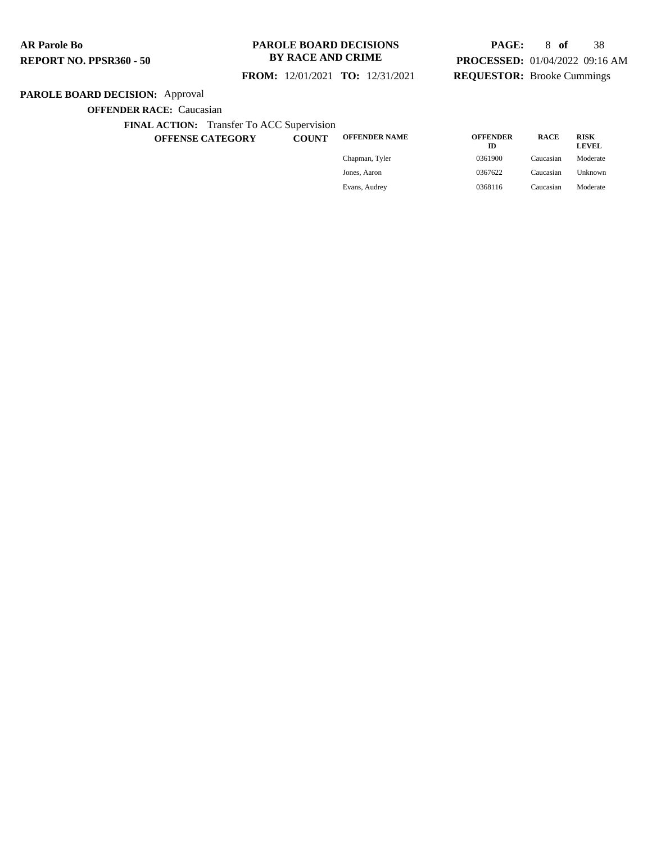#### **PAROLE BOARD DECISIONS BY RACE AND CRIME**

## **FROM:** 12/01/2021 **TO:** 12/31/2021

# **PAGE:** 8 **of** 38 **PROCESSED:** 01/04/2022 09:16 AM **REQUESTOR:** Brooke Cummings

# **PAROLE BOARD DECISION:** Approval

**OFFENDER RACE:** Caucasian

**FINAL ACTION:** Transfer To ACC Supervision

**OFFENSE CATEGORY COUNT OFFENDER NAME OFFENDER**

| <b>OFFENDER NAME</b> | <b>OFFENDER</b><br>m | <b>RACE</b> | <b>RISK</b><br><b>LEVEL</b> |
|----------------------|----------------------|-------------|-----------------------------|
| Chapman, Tyler       | 0361900              | Caucasian   | Moderate                    |
| Jones, Aaron         | 0367622              | Caucasian   | Unknown                     |
| Evans, Audrey        | 0368116              | Caucasian   | Moderate                    |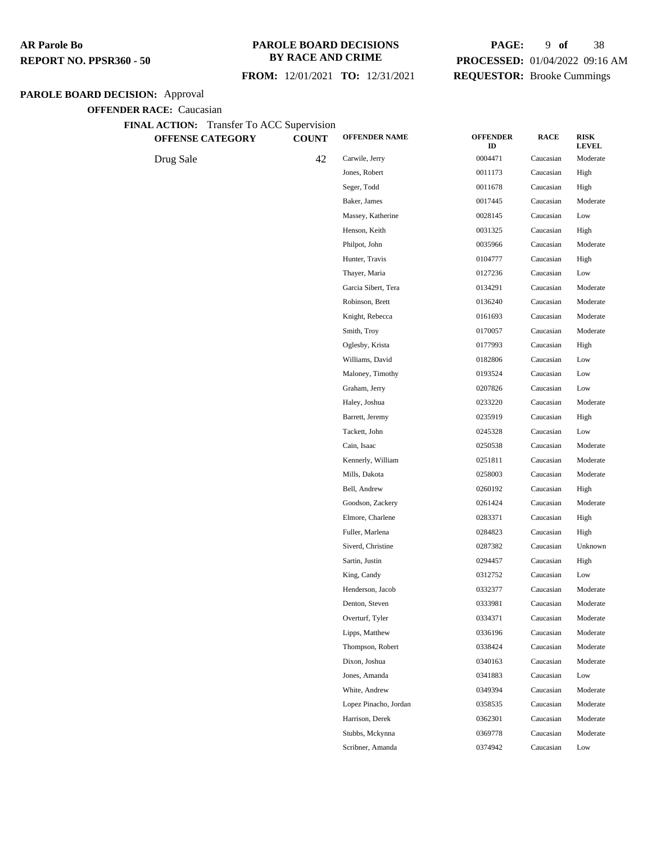#### **PAROLE BOARD DECISIONS BY RACE AND CRIME**

 **FROM:** 12/01/2021 **TO:** 12/31/2021

# **PAGE:** 9 **of** 38 **PROCESSED:** 01/04/2022 09:16 AM **REQUESTOR:** Brooke Cummings

# **PAROLE BOARD DECISION:** Approval

| FINAL ACTION: Transfer To ACC Supervision<br><b>OFFENSE CATEGORY</b> | <b>COUNT</b> | <b>OFFENDER NAME</b>  | <b>OFFENDER</b><br>ID | <b>RACE</b> | <b>RISK</b><br><b>LEVEL</b> |
|----------------------------------------------------------------------|--------------|-----------------------|-----------------------|-------------|-----------------------------|
| Drug Sale                                                            | 42           | Carwile, Jerry        | 0004471               | Caucasian   | Moderate                    |
|                                                                      |              | Jones, Robert         | 0011173               | Caucasian   | High                        |
|                                                                      |              | Seger, Todd           | 0011678               | Caucasian   | High                        |
|                                                                      |              | Baker, James          | 0017445               | Caucasian   | Moderate                    |
|                                                                      |              | Massey, Katherine     | 0028145               | Caucasian   | Low                         |
|                                                                      |              | Henson, Keith         | 0031325               | Caucasian   | High                        |
|                                                                      |              | Philpot, John         | 0035966               | Caucasian   | Moderate                    |
|                                                                      |              | Hunter, Travis        | 0104777               | Caucasian   | High                        |
|                                                                      |              | Thayer, Maria         | 0127236               | Caucasian   | Low                         |
|                                                                      |              | Garcia Sibert, Tera   | 0134291               | Caucasian   | Moderate                    |
|                                                                      |              | Robinson, Brett       | 0136240               | Caucasian   | Moderate                    |
|                                                                      |              | Knight, Rebecca       | 0161693               | Caucasian   | Moderate                    |
|                                                                      |              | Smith, Troy           | 0170057               | Caucasian   | Moderate                    |
|                                                                      |              | Oglesby, Krista       | 0177993               | Caucasian   | High                        |
|                                                                      |              | Williams, David       | 0182806               | Caucasian   | Low                         |
|                                                                      |              | Maloney, Timothy      | 0193524               | Caucasian   | Low                         |
|                                                                      |              | Graham, Jerry         | 0207826               | Caucasian   | Low                         |
|                                                                      |              | Haley, Joshua         | 0233220               | Caucasian   | Moderate                    |
|                                                                      |              | Barrett, Jeremy       | 0235919               | Caucasian   | High                        |
|                                                                      |              | Tackett, John         | 0245328               | Caucasian   | Low                         |
|                                                                      |              | Cain, Isaac           | 0250538               | Caucasian   | Moderate                    |
|                                                                      |              | Kennerly, William     | 0251811               | Caucasian   | Moderate                    |
|                                                                      |              | Mills, Dakota         | 0258003               | Caucasian   | Moderate                    |
|                                                                      |              | Bell, Andrew          | 0260192               | Caucasian   | High                        |
|                                                                      |              | Goodson, Zackery      | 0261424               | Caucasian   | Moderate                    |
|                                                                      |              | Elmore, Charlene      | 0283371               | Caucasian   | High                        |
|                                                                      |              | Fuller, Marlena       | 0284823               | Caucasian   | High                        |
|                                                                      |              | Siverd, Christine     | 0287382               | Caucasian   | Unknown                     |
|                                                                      |              | Sartin, Justin        | 0294457               | Caucasian   | High                        |
|                                                                      |              | King, Candy           | 0312752               | Caucasian   | Low                         |
|                                                                      |              | Henderson, Jacob      | 0332377               | Caucasian   | Moderate                    |
|                                                                      |              | Denton, Steven        | 0333981               | Caucasian   | Moderate                    |
|                                                                      |              | Overturf, Tyler       | 0334371               | Caucasian   | Moderate                    |
|                                                                      |              | Lipps, Matthew        | 0336196               | Caucasian   | Moderate                    |
|                                                                      |              | Thompson, Robert      | 0338424               | Caucasian   | Moderate                    |
|                                                                      |              | Dixon, Joshua         | 0340163               | Caucasian   | Moderate                    |
|                                                                      |              | Jones, Amanda         | 0341883               | Caucasian   | Low                         |
|                                                                      |              | White, Andrew         | 0349394               | Caucasian   | Moderate                    |
|                                                                      |              | Lopez Pinacho, Jordan | 0358535               | Caucasian   | Moderate                    |
|                                                                      |              | Harrison, Derek       | 0362301               | Caucasian   | Moderate                    |
|                                                                      |              | Stubbs, Mckynna       | 0369778               | Caucasian   | Moderate                    |
|                                                                      |              | Scribner, Amanda      | 0374942               | Caucasian   | Low                         |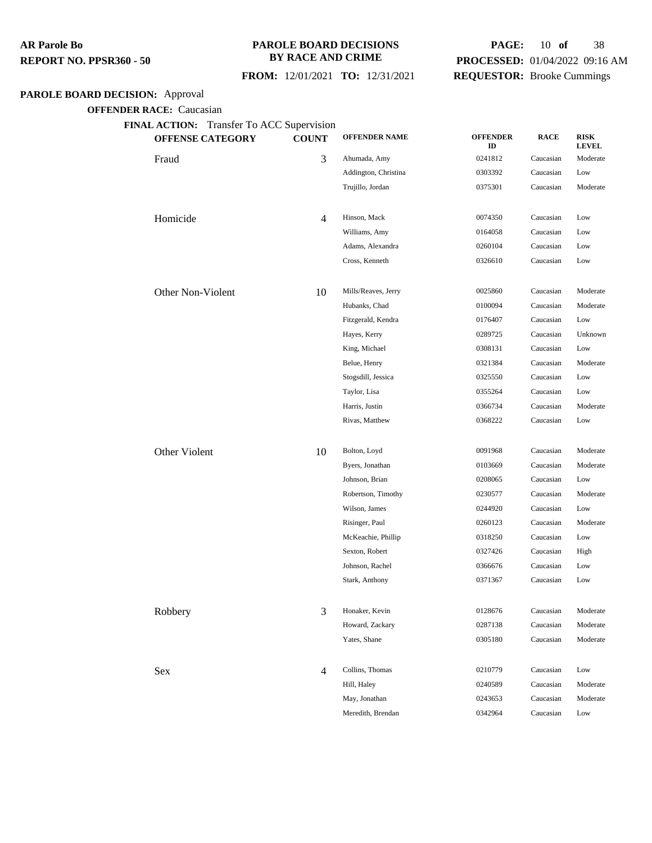#### **PAROLE BOARD DECISIONS BY RACE AND CRIME**

## **FROM:** 12/01/2021 **TO:** 12/31/2021

# **PAGE:** 10 **of** 38 **PROCESSED:** 01/04/2022 09:16 AM **REQUESTOR:** Brooke Cummings

## **PAROLE BOARD DECISION:** Approval

| <b>OFFENSE CATEGORY</b> | <b>COUNT</b> | <b>OFFENDER NAME</b> | <b>OFFENDER</b><br>ID | <b>RACE</b> | <b>RISK</b><br><b>LEVEL</b> |
|-------------------------|--------------|----------------------|-----------------------|-------------|-----------------------------|
| Fraud                   | 3            | Ahumada, Amy         | 0241812               | Caucasian   | Moderate                    |
|                         |              | Addington, Christina | 0303392               | Caucasian   | Low                         |
|                         |              | Trujillo, Jordan     | 0375301               | Caucasian   | Moderate                    |
| Homicide                | 4            | Hinson, Mack         | 0074350               | Caucasian   | Low                         |
|                         |              | Williams, Amy        | 0164058               | Caucasian   | Low                         |
|                         |              | Adams, Alexandra     | 0260104               | Caucasian   | Low                         |
|                         |              | Cross, Kenneth       | 0326610               | Caucasian   | Low                         |
| Other Non-Violent       | 10           | Mills/Reaves, Jerry  | 0025860               | Caucasian   | Moderate                    |
|                         |              | Hubanks, Chad        | 0100094               | Caucasian   | Moderate                    |
|                         |              | Fitzgerald, Kendra   | 0176407               | Caucasian   | Low                         |
|                         |              | Hayes, Kerry         | 0289725               | Caucasian   | Unknown                     |
|                         |              | King, Michael        | 0308131               | Caucasian   | Low                         |
|                         |              | Belue, Henry         | 0321384               | Caucasian   | Moderate                    |
|                         |              | Stogsdill, Jessica   | 0325550               | Caucasian   | Low                         |
|                         |              | Taylor, Lisa         | 0355264               | Caucasian   | Low                         |
|                         |              | Harris, Justin       | 0366734               | Caucasian   | Moderate                    |
|                         |              | Rivas, Matthew       | 0368222               | Caucasian   | Low                         |
| Other Violent           | 10           | Bolton, Loyd         | 0091968               | Caucasian   | Moderate                    |
|                         |              | Byers, Jonathan      | 0103669               | Caucasian   | Moderate                    |
|                         |              | Johnson, Brian       | 0208065               | Caucasian   | Low                         |
|                         |              | Robertson, Timothy   | 0230577               | Caucasian   | Moderate                    |
|                         |              | Wilson, James        | 0244920               | Caucasian   | Low                         |
|                         |              | Risinger, Paul       | 0260123               | Caucasian   | Moderate                    |
|                         |              | McKeachie, Phillip   | 0318250               | Caucasian   | Low                         |
|                         |              | Sexton, Robert       | 0327426               | Caucasian   | High                        |
|                         |              | Johnson, Rachel      | 0366676               | Caucasian   | Low                         |
|                         |              | Stark, Anthony       | 0371367               | Caucasian   | Low                         |
| Robbery                 | 3            | Honaker, Kevin       | 0128676               | Caucasian   | Moderate                    |
|                         |              | Howard, Zackary      | 0287138               | Caucasian   | Moderate                    |
|                         |              | Yates, Shane         | 0305180               | Caucasian   | Moderate                    |
| Sex                     | 4            | Collins, Thomas      | 0210779               | Caucasian   | Low                         |
|                         |              | Hill, Haley          | 0240589               | Caucasian   | Moderate                    |
|                         |              | May, Jonathan        | 0243653               | Caucasian   | Moderate                    |
|                         |              | Meredith, Brendan    | 0342964               | Caucasian   | Low                         |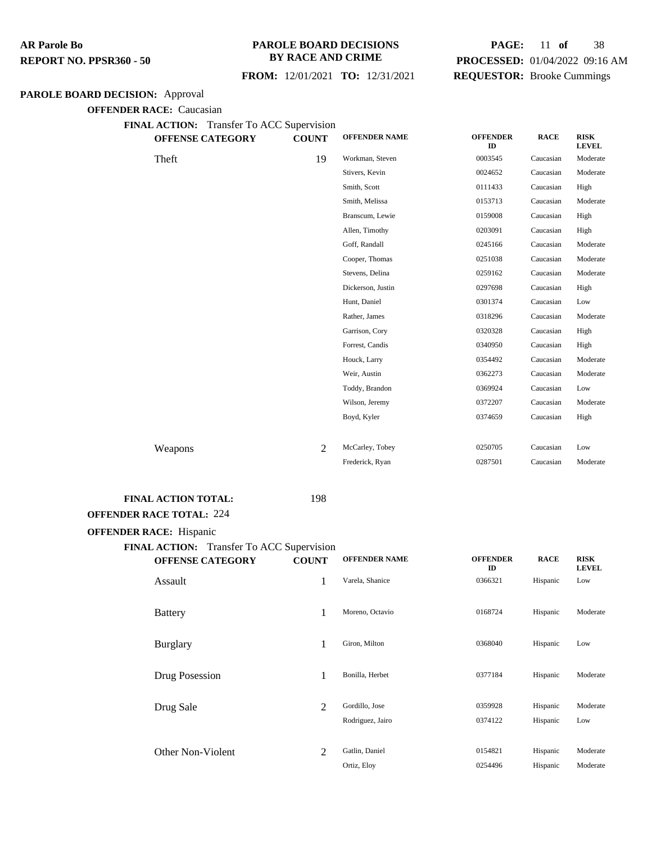#### **PAROLE BOARD DECISIONS BY RACE AND CRIME**

 **FROM:** 12/01/2021 **TO:** 12/31/2021

# **PAGE:** 11 **of** 38 **PROCESSED:** 01/04/2022 09:16 AM **REQUESTOR:** Brooke Cummings

#### **PAROLE BOARD DECISION:** Approval

**OFFENDER RACE:** Caucasian

**FINAL ACTION:** Transfer To ACC Supervision

| <b>OFFENSE CATEGORY</b> | <b>COUNT</b> | <b>OFFENDER NAME</b> | <b>OFFENDER</b><br>ID | <b>RACE</b> | <b>RISK</b><br><b>LEVEL</b> |
|-------------------------|--------------|----------------------|-----------------------|-------------|-----------------------------|
| Theft                   | 19           | Workman, Steven      | 0003545               | Caucasian   | Moderate                    |
|                         |              | Stivers, Kevin       | 0024652               | Caucasian   | Moderate                    |
|                         |              | Smith, Scott         | 0111433               | Caucasian   | High                        |
|                         |              | Smith, Melissa       | 0153713               | Caucasian   | Moderate                    |
|                         |              | Branscum, Lewie      | 0159008               | Caucasian   | High                        |
|                         |              | Allen, Timothy       | 0203091               | Caucasian   | High                        |
|                         |              | Goff, Randall        | 0245166               | Caucasian   | Moderate                    |
|                         |              | Cooper, Thomas       | 0251038               | Caucasian   | Moderate                    |
|                         |              | Stevens, Delina      | 0259162               | Caucasian   | Moderate                    |
|                         |              | Dickerson, Justin    | 0297698               | Caucasian   | High                        |
|                         |              | Hunt, Daniel         | 0301374               | Caucasian   | Low                         |
|                         |              | Rather, James        | 0318296               | Caucasian   | Moderate                    |
|                         |              | Garrison, Cory       | 0320328               | Caucasian   | High                        |
|                         |              | Forrest, Candis      | 0340950               | Caucasian   | High                        |
|                         |              | Houck, Larry         | 0354492               | Caucasian   | Moderate                    |
|                         |              | Weir, Austin         | 0362273               | Caucasian   | Moderate                    |
|                         |              | Toddy, Brandon       | 0369924               | Caucasian   | Low                         |
|                         |              | Wilson, Jeremy       | 0372207               | Caucasian   | Moderate                    |
|                         |              | Boyd, Kyler          | 0374659               | Caucasian   | High                        |
|                         |              |                      |                       |             |                             |
| Weapons                 | 2            | McCarley, Tobey      | 0250705               | Caucasian   | Low                         |
|                         |              | Frederick, Ryan      | 0287501               | Caucasian   | Moderate                    |
|                         |              |                      |                       |             |                             |

## FINAL ACTION TOTAL: 198

#### **OFFENDER RACE TOTAL:** 224

#### **OFFENDER RACE:** Hispanic

| Transfer To ACC Supervision<br><b>FINAL ACTION:</b><br><b>OFFENSE CATEGORY</b> | <b>COUNT</b> | <b>OFFENDER NAME</b>               | <b>OFFENDER</b>    | <b>RACE</b>          | <b>RISK</b>          |
|--------------------------------------------------------------------------------|--------------|------------------------------------|--------------------|----------------------|----------------------|
| Assault                                                                        | 1            | Varela, Shanice                    | ID<br>0366321      | Hispanic             | <b>LEVEL</b><br>Low  |
| <b>Battery</b>                                                                 | 1            | Moreno, Octavio                    | 0168724            | Hispanic             | Moderate             |
| <b>Burglary</b>                                                                | 1            | Giron, Milton                      | 0368040            | Hispanic             | Low                  |
| Drug Posession                                                                 | 1            | Bonilla, Herbet                    | 0377184            | Hispanic             | Moderate             |
| Drug Sale                                                                      | 2            | Gordillo, Jose<br>Rodriguez, Jairo | 0359928<br>0374122 | Hispanic<br>Hispanic | Moderate<br>Low      |
| Other Non-Violent                                                              | 2            | Gatlin, Daniel<br>Ortiz, Eloy      | 0154821<br>0254496 | Hispanic<br>Hispanic | Moderate<br>Moderate |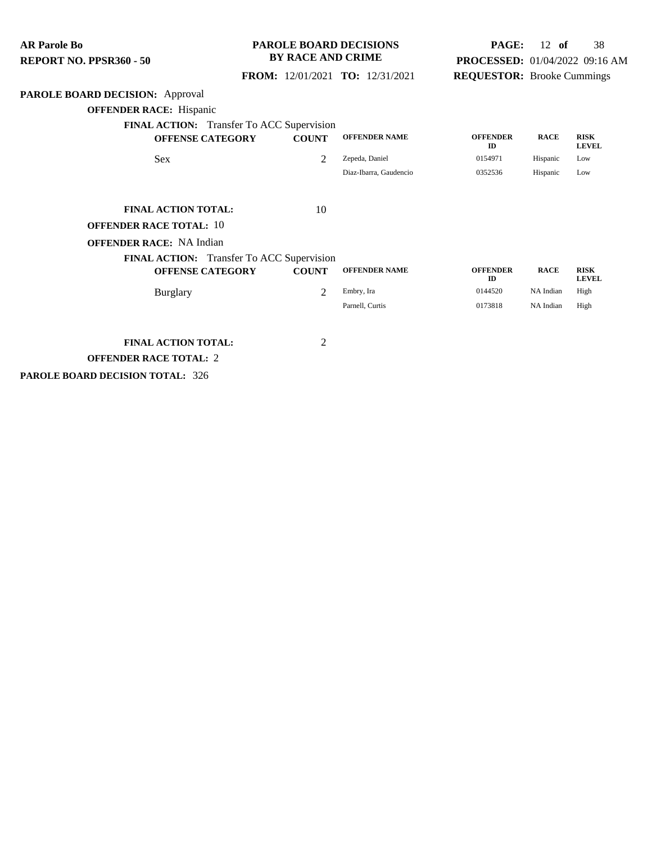**PAROLE BOARD DECISION:** Approval **OFFENDER RACE:** Hispanic **FINAL ACTION:** Transfer To ACC Supervision **OFFENSE CATEGORY COUNT OFFENDER NAME OFFENDER ID RACE RISK LEVEL** Sex 2 Zepeda, Daniel 0154971 Hispanic Low Diaz-Ibarra, Gaudencio 0352536 Hispanic Low **FINAL ACTION TOTAL:** 10 **OFFENDER RACE TOTAL:** 10 **OFFENDER RACE:** NA Indian **FINAL ACTION:** Transfer To ACC Supervision **OFFENSE CATEGORY COUNT OFFENDER NAME OFFENDER ID RACE RISK LEVEL** Burglary **2** Embry, Ira 10144520 NA Indian High Parnell, Curtis **173818** NA Indian High **FINAL ACTION TOTAL:** 2 **OFFENDER RACE TOTAL:** 2 **AR Parole Bo REPORT NO. PPSR360 - 50 PAROLE BOARD DECISIONS BY RACE AND CRIME FROM:** 12/01/2021 **TO:** 12/31/2021 **PAGE:** 12 **of** 38 **PROCESSED:** 01/04/2022 09:16 AM **REQUESTOR:** Brooke Cummings

**PAROLE BOARD DECISION TOTAL:** 326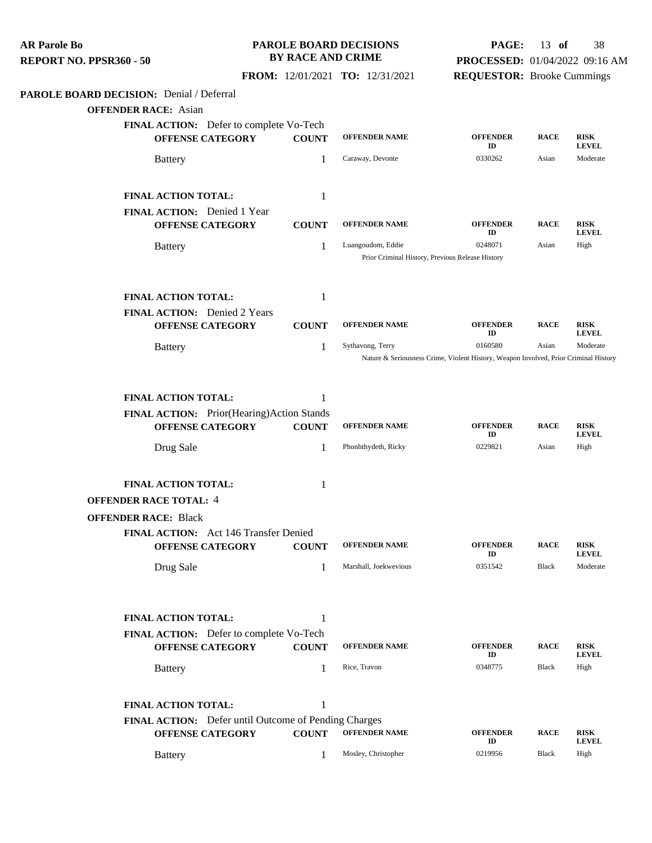| <b>AR Parole Bo</b><br>REPORT NO. PPSR360 - 50 |                                                                                 | <b>BY RACE AND CRIME</b> | <b>PAROLE BOARD DECISIONS</b>                                         | PAGE:<br>PROCESSED: 01/04/2022 09:16 AM                                                         | $13$ of     | 38                          |
|------------------------------------------------|---------------------------------------------------------------------------------|--------------------------|-----------------------------------------------------------------------|-------------------------------------------------------------------------------------------------|-------------|-----------------------------|
|                                                |                                                                                 |                          | FROM: 12/01/2021 TO: 12/31/2021                                       | <b>REQUESTOR:</b> Brooke Cummings                                                               |             |                             |
| PAROLE BOARD DECISION: Denial / Deferral       |                                                                                 |                          |                                                                       |                                                                                                 |             |                             |
| <b>OFFENDER RACE:</b> Asian                    |                                                                                 |                          |                                                                       |                                                                                                 |             |                             |
|                                                | FINAL ACTION: Defer to complete Vo-Tech<br><b>OFFENSE CATEGORY</b>              | <b>COUNT</b>             | <b>OFFENDER NAME</b>                                                  | <b>OFFENDER</b><br>ID                                                                           | <b>RACE</b> | <b>RISK</b><br><b>LEVEL</b> |
|                                                | <b>Battery</b>                                                                  | 1                        | Caraway, Devonte                                                      | 0330262                                                                                         | Asian       | Moderate                    |
|                                                | <b>FINAL ACTION TOTAL:</b>                                                      | 1                        |                                                                       |                                                                                                 |             |                             |
|                                                | <b>FINAL ACTION:</b> Denied 1 Year<br><b>OFFENSE CATEGORY</b>                   | <b>COUNT</b>             | <b>OFFENDER NAME</b>                                                  | <b>OFFENDER</b>                                                                                 | <b>RACE</b> | <b>RISK</b>                 |
|                                                | <b>Battery</b>                                                                  | 1                        | Luangoudom, Eddie<br>Prior Criminal History, Previous Release History | ID<br>0248071                                                                                   | Asian       | <b>LEVEL</b><br>High        |
|                                                | FINAL ACTION TOTAL:                                                             | 1                        |                                                                       |                                                                                                 |             |                             |
|                                                | FINAL ACTION: Denied 2 Years<br><b>OFFENSE CATEGORY</b>                         | <b>COUNT</b>             | <b>OFFENDER NAME</b>                                                  | <b>OFFENDER</b><br>ID                                                                           | <b>RACE</b> | <b>RISK</b><br><b>LEVEL</b> |
|                                                | <b>Battery</b>                                                                  | 1                        | Sythavong, Terry                                                      | 0160580<br>Nature & Seriousness Crime, Violent History, Weapon Involved, Prior Criminal History | Asian       | Moderate                    |
|                                                |                                                                                 |                          |                                                                       |                                                                                                 |             |                             |
|                                                | FINAL ACTION TOTAL:                                                             | 1                        |                                                                       |                                                                                                 |             |                             |
|                                                | FINAL ACTION: Prior(Hearing)Action Stands                                       |                          |                                                                       |                                                                                                 |             |                             |
|                                                | <b>OFFENSE CATEGORY</b>                                                         | <b>COUNT</b>             | <b>OFFENDER NAME</b>                                                  | <b>OFFENDER</b><br>ID                                                                           | <b>RACE</b> | <b>RISK</b><br><b>LEVEL</b> |
|                                                | Drug Sale                                                                       | 1                        | Phonhthydeth, Ricky                                                   | 0229821                                                                                         | Asian       | High                        |
|                                                | <b>FINAL ACTION TOTAL:</b>                                                      | 1                        |                                                                       |                                                                                                 |             |                             |
| <b>OFFENDER RACE TOTAL: 4</b>                  |                                                                                 |                          |                                                                       |                                                                                                 |             |                             |
| <b>OFFENDER RACE: Black</b>                    |                                                                                 |                          |                                                                       |                                                                                                 |             |                             |
|                                                | FINAL ACTION: Act 146 Transfer Denied<br><b>OFFENSE CATEGORY</b>                | <b>COUNT</b>             | <b>OFFENDER NAME</b>                                                  | <b>OFFENDER</b><br>ID                                                                           | <b>RACE</b> | <b>RISK</b><br><b>LEVEL</b> |
|                                                | Drug Sale                                                                       | 1                        | Marshall, Joekwevious                                                 | 0351542                                                                                         | Black       | Moderate                    |
|                                                | <b>FINAL ACTION TOTAL:</b>                                                      | 1                        |                                                                       |                                                                                                 |             |                             |
|                                                | FINAL ACTION: Defer to complete Vo-Tech                                         |                          |                                                                       |                                                                                                 |             |                             |
|                                                | <b>OFFENSE CATEGORY</b>                                                         | <b>COUNT</b>             | <b>OFFENDER NAME</b>                                                  | <b>OFFENDER</b><br>ID                                                                           | <b>RACE</b> | <b>RISK</b><br><b>LEVEL</b> |
|                                                | <b>Battery</b>                                                                  | 1                        | Rice, Travon                                                          | 0348775                                                                                         | Black       | High                        |
|                                                | <b>FINAL ACTION TOTAL:</b>                                                      | 1                        |                                                                       |                                                                                                 |             |                             |
|                                                | FINAL ACTION: Defer until Outcome of Pending Charges<br><b>OFFENSE CATEGORY</b> | <b>COUNT</b>             | <b>OFFENDER NAME</b>                                                  | <b>OFFENDER</b><br>ID                                                                           | <b>RACE</b> | <b>RISK</b><br><b>LEVEL</b> |
|                                                | <b>Battery</b>                                                                  | 1                        | Mosley, Christopher                                                   | 0219956                                                                                         | Black       | High                        |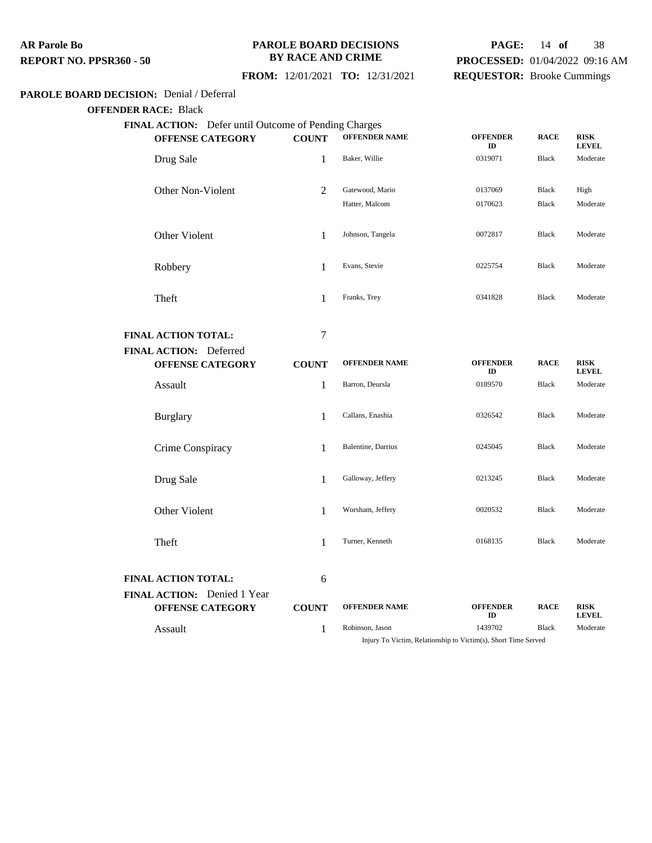#### **PAROLE BOARD DECISIONS BY RACE AND CRIME**

# **PAGE:** 14 **of** 38 **PROCESSED:** 01/04/2022 09:16 AM **REQUESTOR:** Brooke Cummings

## **FROM:** 12/01/2021 **TO:** 12/31/2021

#### **PAROLE BOARD DECISION:** Denial / Deferral

#### **OFFENDER RACE:** Black

| FINAL ACTION: Defer until Outcome of Pending Charges<br><b>OFFENSE CATEGORY</b> | <b>COUNT</b>   | <b>OFFENDER NAME</b> | <b>OFFENDER</b><br>ID | <b>RACE</b>  | <b>RISK</b><br><b>LEVEL</b> |
|---------------------------------------------------------------------------------|----------------|----------------------|-----------------------|--------------|-----------------------------|
| Drug Sale                                                                       | 1              | Baker, Willie        | 0319071               | Black        | Moderate                    |
| Other Non-Violent                                                               | $\overline{2}$ | Gatewood, Mario      | 0137069               | Black        | High                        |
|                                                                                 |                | Hatter, Malcom       | 0170623               | <b>Black</b> | Moderate                    |
|                                                                                 |                |                      |                       |              |                             |
| Other Violent                                                                   | 1              | Johnson, Tangela     | 0072817               | Black        | Moderate                    |
|                                                                                 |                |                      |                       |              |                             |
| Robbery                                                                         | 1              | Evans, Stevie        | 0225754               | <b>Black</b> | Moderate                    |
|                                                                                 | 1              | Franks, Trey         | 0341828               | <b>Black</b> | Moderate                    |
| Theft                                                                           |                |                      |                       |              |                             |
| <b>FINAL ACTION TOTAL:</b>                                                      | $\tau$         |                      |                       |              |                             |
| FINAL ACTION: Deferred                                                          |                |                      |                       |              |                             |
| <b>OFFENSE CATEGORY</b>                                                         | <b>COUNT</b>   | <b>OFFENDER NAME</b> | <b>OFFENDER</b><br>ID | <b>RACE</b>  | <b>RISK</b><br><b>LEVEL</b> |
| Assault                                                                         | $\mathbf{1}$   | Barron, Deursla      | 0189570               | <b>Black</b> | Moderate                    |
|                                                                                 |                |                      |                       |              |                             |
| <b>Burglary</b>                                                                 | 1              | Callans, Enashia     | 0326542               | <b>Black</b> | Moderate                    |
| Crime Conspiracy                                                                | 1              | Balentine, Darrius   | 0245045               | <b>Black</b> | Moderate                    |
|                                                                                 |                |                      |                       |              |                             |
| Drug Sale                                                                       | $\mathbf{1}$   | Galloway, Jeffery    | 0213245               | Black        | Moderate                    |
|                                                                                 |                |                      |                       |              |                             |
| Other Violent                                                                   | 1              | Worsham, Jeffery     | 0020532               | <b>Black</b> | Moderate                    |
|                                                                                 |                | Turner, Kenneth      | 0168135               | <b>Black</b> | Moderate                    |
| Theft                                                                           | 1              |                      |                       |              |                             |
|                                                                                 |                |                      |                       |              |                             |
| <b>FINAL ACTION TOTAL:</b><br>FINAL ACTION: Denied 1 Year                       | 6              |                      |                       |              |                             |
|                                                                                 |                |                      |                       |              |                             |
| <b>OFFENSE CATEGORY</b>                                                         | <b>COUNT</b>   | <b>OFFENDER NAME</b> | <b>OFFENDER</b><br>ID | <b>RACE</b>  | <b>RISK</b><br><b>LEVEL</b> |

Injury To Victim, Relationship to Victim(s), Short Time Served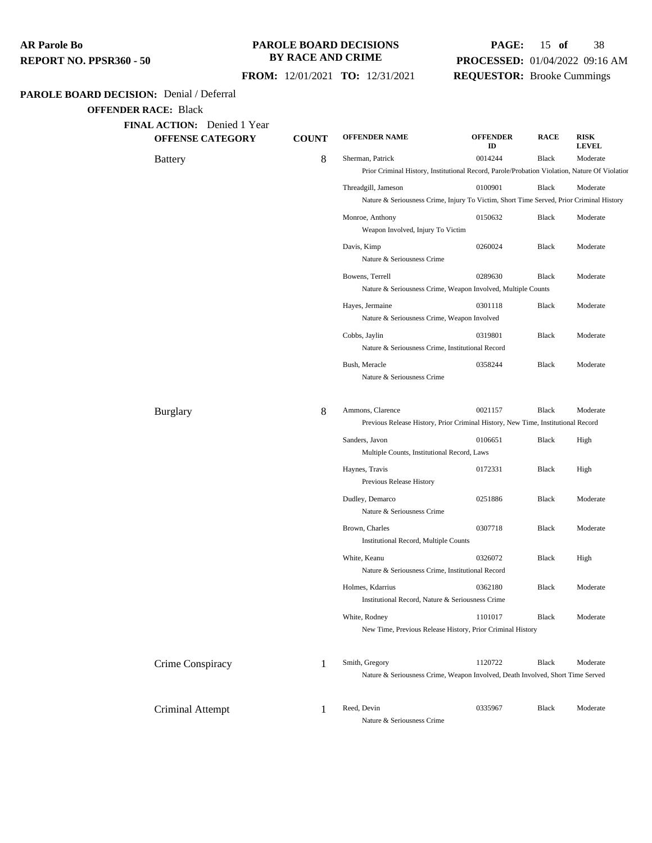#### **PAROLE BOARD DECISIONS BY RACE AND CRIME**

# **PAGE:** 15 **of** 38 **PROCESSED:** 01/04/2022 09:16 AM **REQUESTOR:** Brooke Cummings

 **FROM:** 12/01/2021 **TO:** 12/31/2021

## **PAROLE BOARD DECISION:** Denial / Deferral

| <b>OFFENSE CATEGORY</b> | <b>COUNT</b> | <b>OFFENDER NAME</b>                                                                                              | <b>OFFENDER</b><br>ID | <b>RACE</b>  | <b>RISK</b><br><b>LEVEL</b> |
|-------------------------|--------------|-------------------------------------------------------------------------------------------------------------------|-----------------------|--------------|-----------------------------|
| <b>Battery</b>          | 8            | Sherman, Patrick<br>Prior Criminal History, Institutional Record, Parole/Probation Violation, Nature Of Violation | 0014244               | <b>Black</b> | Moderate                    |
|                         |              | Threadgill, Jameson<br>Nature & Seriousness Crime, Injury To Victim, Short Time Served, Prior Criminal History    | 0100901               | <b>Black</b> | Moderate                    |
|                         |              | Monroe, Anthony<br>Weapon Involved, Injury To Victim                                                              | 0150632               | <b>Black</b> | Moderate                    |
|                         |              | Davis, Kimp<br>Nature & Seriousness Crime                                                                         | 0260024               | Black        | Moderate                    |
|                         |              | Bowens, Terrell<br>Nature & Seriousness Crime, Weapon Involved, Multiple Counts                                   | 0289630               | <b>Black</b> | Moderate                    |
|                         |              | Hayes, Jermaine<br>Nature & Seriousness Crime, Weapon Involved                                                    | 0301118               | Black        | Moderate                    |
|                         |              | Cobbs, Jaylin<br>Nature & Seriousness Crime, Institutional Record                                                 | 0319801               | Black        | Moderate                    |
|                         |              | Bush, Meracle<br>Nature & Seriousness Crime                                                                       | 0358244               | Black        | Moderate                    |
| <b>Burglary</b>         | 8            | Ammons, Clarence<br>Previous Release History, Prior Criminal History, New Time, Institutional Record              | 0021157               | <b>Black</b> | Moderate                    |
|                         |              | Sanders, Javon<br>Multiple Counts, Institutional Record, Laws                                                     | 0106651               | Black        | High                        |
|                         |              | Haynes, Travis<br>Previous Release History                                                                        | 0172331               | Black        | High                        |
|                         |              | Dudley, Demarco<br>Nature & Seriousness Crime                                                                     | 0251886               | Black        | Moderate                    |
|                         |              | Brown, Charles<br><b>Institutional Record, Multiple Counts</b>                                                    | 0307718               | Black        | Moderate                    |
|                         |              | White, Keanu<br>Nature & Seriousness Crime, Institutional Record                                                  | 0326072               | Black        | High                        |
|                         |              | Holmes, Kdarrius<br>Institutional Record, Nature & Seriousness Crime                                              | 0362180               | <b>Black</b> | Moderate                    |
|                         |              | White, Rodney<br>New Time, Previous Release History, Prior Criminal History                                       | 1101017               | <b>Black</b> | Moderate                    |
| Crime Conspiracy        | 1            | Smith, Gregory<br>Nature & Seriousness Crime, Weapon Involved, Death Involved, Short Time Served                  | 1120722               | Black        | Moderate                    |
|                         |              |                                                                                                                   |                       |              |                             |
| Criminal Attempt        | 1            | Reed, Devin<br>Nature & Seriousness Crime                                                                         | 0335967               | Black        | Moderate                    |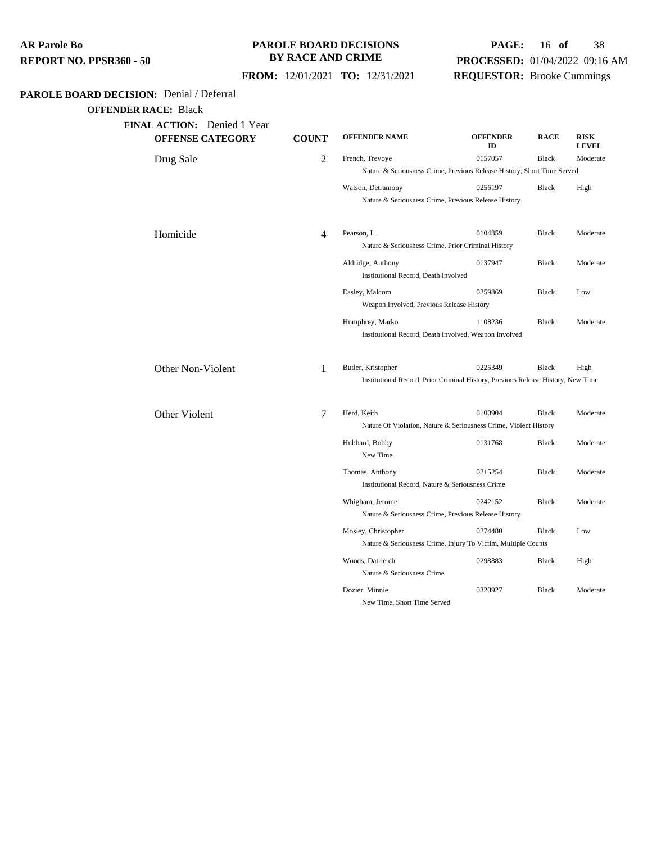| AR Parole Bo            |  |
|-------------------------|--|
| REPORT NO. PPSR360 - 50 |  |

## **PAROLE BOARD DECISIONS BY RACE AND CRIME**

# **PAGE:** 16 **of** 38 **PROCESSED:** 01/04/2022 09:16 AM **REQUESTOR:** Brooke Cummings

 **FROM:** 12/01/2021 **TO:** 12/31/2021

## **PAROLE BOARD DECISION:** Denial / Deferral

| <b>FINAL ACTION:</b> Denied 1 Year<br><b>OFFENSE CATEGORY</b> | <b>COUNT</b> | <b>OFFENDER NAME</b>                                                             | <b>OFFENDER</b> | <b>RACE</b>  | <b>RISK</b>  |  |  |
|---------------------------------------------------------------|--------------|----------------------------------------------------------------------------------|-----------------|--------------|--------------|--|--|
|                                                               |              |                                                                                  | ID              |              | <b>LEVEL</b> |  |  |
| Drug Sale                                                     | 2            | French, Trevoye                                                                  | 0157057         | <b>Black</b> | Moderate     |  |  |
|                                                               |              | Nature & Seriousness Crime, Previous Release History, Short Time Served          |                 |              |              |  |  |
|                                                               |              | Watson, Detramony                                                                | 0256197         | <b>Black</b> | High         |  |  |
|                                                               |              | Nature & Seriousness Crime, Previous Release History                             |                 |              |              |  |  |
| Homicide                                                      | 4            | Pearson, L                                                                       | 0104859         | <b>Black</b> | Moderate     |  |  |
|                                                               |              | Nature & Seriousness Crime, Prior Criminal History                               |                 |              |              |  |  |
|                                                               |              | Aldridge, Anthony                                                                | 0137947         | <b>Black</b> | Moderate     |  |  |
|                                                               |              | Institutional Record, Death Involved                                             |                 |              |              |  |  |
|                                                               |              | Easley, Malcom                                                                   | 0259869         | <b>Black</b> | Low          |  |  |
|                                                               |              | Weapon Involved, Previous Release History                                        |                 |              |              |  |  |
|                                                               |              | Humphrey, Marko                                                                  | 1108236         | <b>Black</b> | Moderate     |  |  |
|                                                               |              | Institutional Record, Death Involved, Weapon Involved                            |                 |              |              |  |  |
| Other Non-Violent                                             | 1            | Butler, Kristopher                                                               | 0225349         | <b>Black</b> | High         |  |  |
|                                                               |              | Institutional Record, Prior Criminal History, Previous Release History, New Time |                 |              |              |  |  |
| Other Violent                                                 | 7            | Herd, Keith                                                                      | 0100904         | <b>Black</b> | Moderate     |  |  |
|                                                               |              | Nature Of Violation, Nature & Seriousness Crime, Violent History                 |                 |              |              |  |  |
|                                                               |              | Hubbard, Bobby                                                                   | 0131768         | <b>Black</b> | Moderate     |  |  |
|                                                               |              | New Time                                                                         |                 |              |              |  |  |
|                                                               |              | Thomas, Anthony                                                                  | 0215254         | <b>Black</b> | Moderate     |  |  |
|                                                               |              | Institutional Record, Nature & Seriousness Crime                                 |                 |              |              |  |  |
|                                                               |              | Whigham, Jerome                                                                  | 0242152         | <b>Black</b> | Moderate     |  |  |
|                                                               |              | Nature & Seriousness Crime, Previous Release History                             |                 |              |              |  |  |
|                                                               |              | Mosley, Christopher                                                              | 0274480         | <b>Black</b> | Low          |  |  |
|                                                               |              | Nature & Seriousness Crime, Injury To Victim, Multiple Counts                    |                 |              |              |  |  |
|                                                               |              | Woods, Datrietch                                                                 | 0298883         | <b>Black</b> | High         |  |  |
|                                                               |              | Nature & Seriousness Crime                                                       |                 |              |              |  |  |
|                                                               |              | Dozier, Minnie                                                                   | 0320927         | <b>Black</b> | Moderate     |  |  |
|                                                               |              | New Time, Short Time Served                                                      |                 |              |              |  |  |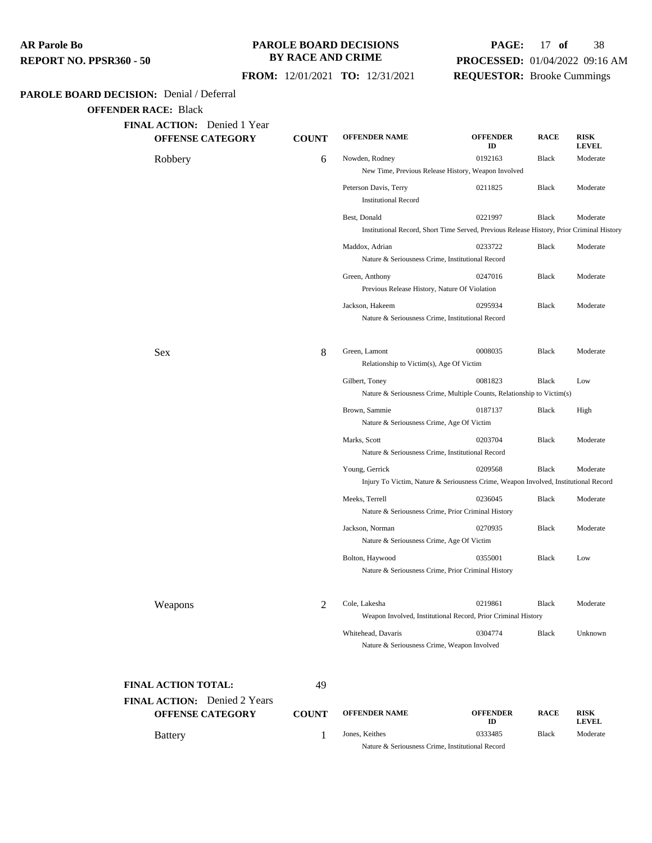#### **PAROLE BOARD DECISIONS BY RACE AND CRIME**

# **PAGE:** 17 **of** 38 **PROCESSED:** 01/04/2022 09:16 AM **REQUESTOR:** Brooke Cummings

 **FROM:** 12/01/2021 **TO:** 12/31/2021

## **PAROLE BOARD DECISION:** Denial / Deferral

**OFFENDER RACE:** Black

| FINAL ACTION: Denied 1 Year<br><b>OFFENSE CATEGORY</b>  | <b>COUNT</b>   | <b>OFFENDER NAME</b>                                                                                  | <b>OFFENDER</b><br>ID | <b>RACE</b>  | <b>RISK</b><br><b>LEVEL</b> |
|---------------------------------------------------------|----------------|-------------------------------------------------------------------------------------------------------|-----------------------|--------------|-----------------------------|
| Robbery                                                 | 6              | Nowden, Rodney<br>New Time, Previous Release History, Weapon Involved                                 | 0192163               | Black        | Moderate                    |
|                                                         |                | Peterson Davis, Terry<br><b>Institutional Record</b>                                                  | 0211825               | Black        | Moderate                    |
|                                                         |                | Best, Donald                                                                                          | 0221997               | Black        | Moderate                    |
|                                                         |                | Institutional Record, Short Time Served, Previous Release History, Prior Criminal History             |                       |              |                             |
|                                                         |                | Maddox, Adrian<br>Nature & Seriousness Crime, Institutional Record                                    | 0233722               | Black        | Moderate                    |
|                                                         |                | Green, Anthony<br>Previous Release History, Nature Of Violation                                       | 0247016               | Black        | Moderate                    |
|                                                         |                | Jackson, Hakeem<br>Nature & Seriousness Crime, Institutional Record                                   | 0295934               | <b>Black</b> | Moderate                    |
| Sex                                                     | 8              | Green, Lamont<br>Relationship to Victim(s), Age Of Victim                                             | 0008035               | <b>Black</b> | Moderate                    |
|                                                         |                | Gilbert, Toney<br>Nature & Seriousness Crime, Multiple Counts, Relationship to Victim(s)              | 0081823               | <b>Black</b> | Low                         |
|                                                         |                | Brown, Sammie<br>Nature & Seriousness Crime, Age Of Victim                                            | 0187137               | Black        | High                        |
|                                                         |                | Marks, Scott<br>Nature & Seriousness Crime, Institutional Record                                      | 0203704               | Black        | Moderate                    |
|                                                         |                | Young, Gerrick<br>Injury To Victim, Nature & Seriousness Crime, Weapon Involved, Institutional Record | 0209568               | Black        | Moderate                    |
|                                                         |                | Meeks, Terrell<br>Nature & Seriousness Crime, Prior Criminal History                                  | 0236045               | Black        | Moderate                    |
|                                                         |                | Jackson, Norman<br>Nature & Seriousness Crime, Age Of Victim                                          | 0270935               | Black        | Moderate                    |
|                                                         |                | Bolton, Haywood<br>Nature & Seriousness Crime, Prior Criminal History                                 | 0355001               | Black        | Low                         |
| Weapons                                                 | $\overline{2}$ | Cole, Lakesha<br>Weapon Involved, Institutional Record, Prior Criminal History                        | 0219861               | Black        | Moderate                    |
|                                                         |                | Whitehead, Davaris<br>Nature & Seriousness Crime, Weapon Involved                                     | 0304774               | <b>Black</b> | Unknown                     |
| FINAL ACTION TOTAL:                                     | 49             |                                                                                                       |                       |              |                             |
| <b>FINAL ACTION:</b> Denied 2 Years<br>OFFENSE CATEGORY | <b>COUNT</b>   | <b>OFFENDER NAME</b>                                                                                  | <b>OFFENDER</b><br>ID | <b>RACE</b>  | <b>RISK</b><br><b>LEVEL</b> |
| <b>Battery</b>                                          | 1              | Jones, Keithes                                                                                        | 0333485               | <b>Black</b> | Moderate                    |

Nature & Seriousness Crime, Institutional Record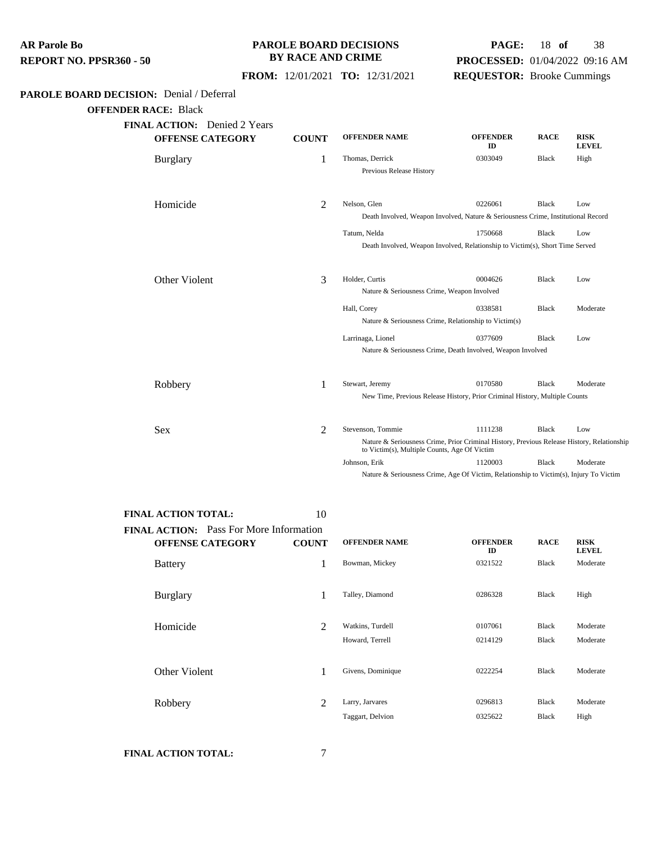#### **PAROLE BOARD DECISIONS BY RACE AND CRIME**

# **PAGE:** 18 **of** 38 **PROCESSED:** 01/04/2022 09:16 AM **REQUESTOR:** Brooke Cummings

 **FROM:** 12/01/2021 **TO:** 12/31/2021

## **PAROLE BOARD DECISION:** Denial / Deferral

**OFFENDER RACE:** Black

| <b>OFFENSE CATEGORY</b> | <b>COUNT</b>   | <b>OFFENDER NAME</b>                                                                                                                       | <b>OFFENDER</b><br>ID | <b>RACE</b>  | <b>RISK</b><br><b>LEVEL</b> |  |
|-------------------------|----------------|--------------------------------------------------------------------------------------------------------------------------------------------|-----------------------|--------------|-----------------------------|--|
| <b>Burglary</b>         | 1              | Thomas, Derrick                                                                                                                            | 0303049               | Black        | High                        |  |
|                         |                | Previous Release History                                                                                                                   |                       |              |                             |  |
| Homicide                | 2              | Nelson, Glen                                                                                                                               | 0226061               | <b>Black</b> | Low                         |  |
|                         |                | Death Involved, Weapon Involved, Nature & Seriousness Crime, Institutional Record                                                          |                       |              |                             |  |
|                         |                | Tatum, Nelda                                                                                                                               | 1750668               | <b>Black</b> | Low                         |  |
|                         |                | Death Involved, Weapon Involved, Relationship to Victim(s), Short Time Served                                                              |                       |              |                             |  |
| Other Violent           | 3              | Holder, Curtis                                                                                                                             | 0004626               | <b>Black</b> | Low                         |  |
|                         |                | Nature & Seriousness Crime, Weapon Involved                                                                                                |                       |              |                             |  |
|                         |                | Hall, Corey                                                                                                                                | 0338581               | <b>Black</b> | Moderate                    |  |
|                         |                | Nature & Seriousness Crime, Relationship to Victim(s)                                                                                      |                       |              |                             |  |
|                         |                | Larrinaga, Lionel                                                                                                                          | 0377609               | Black        | Low                         |  |
|                         |                | Nature & Seriousness Crime, Death Involved, Weapon Involved                                                                                |                       |              |                             |  |
| Robbery                 | 1              | Stewart, Jeremy                                                                                                                            | 0170580               | <b>Black</b> | Moderate                    |  |
|                         |                | New Time, Previous Release History, Prior Criminal History, Multiple Counts                                                                |                       |              |                             |  |
| <b>Sex</b>              | $\mathfrak{D}$ | Stevenson, Tommie                                                                                                                          | 1111238               | <b>Black</b> | Low                         |  |
|                         |                | Nature & Seriousness Crime, Prior Criminal History, Previous Release History, Relationship<br>to Victim(s), Multiple Counts, Age Of Victim |                       |              |                             |  |
|                         |                | Johnson, Erik                                                                                                                              | 1120003               | <b>Black</b> | Moderate                    |  |

| <b>FINAL ACTION TOTAL:</b>                                                | 10           |                                     |                       |                              |                             |
|---------------------------------------------------------------------------|--------------|-------------------------------------|-----------------------|------------------------------|-----------------------------|
| <b>FINAL ACTION:</b> Pass For More Information<br><b>OFFENSE CATEGORY</b> | <b>COUNT</b> | <b>OFFENDER NAME</b>                | <b>OFFENDER</b><br>ID | <b>RACE</b>                  | <b>RISK</b><br><b>LEVEL</b> |
| <b>Battery</b>                                                            | 1            | Bowman, Mickey                      | 0321522               | <b>Black</b>                 | Moderate                    |
| <b>Burglary</b>                                                           | 1            | Talley, Diamond                     | 0286328               | <b>Black</b>                 | High                        |
| Homicide                                                                  | 2            | Watkins, Turdell<br>Howard, Terrell | 0107061<br>0214129    | <b>Black</b><br><b>Black</b> | Moderate<br>Moderate        |
| Other Violent                                                             | 1            | Givens, Dominique                   | 0222254               | <b>Black</b>                 | Moderate                    |
| Robbery                                                                   | 2            | Larry, Jarvares<br>Taggart, Delvion | 0296813<br>0325622    | <b>Black</b><br><b>Black</b> | Moderate<br>High            |
|                                                                           |              |                                     |                       |                              |                             |

**FINAL ACTION TOTAL:** 7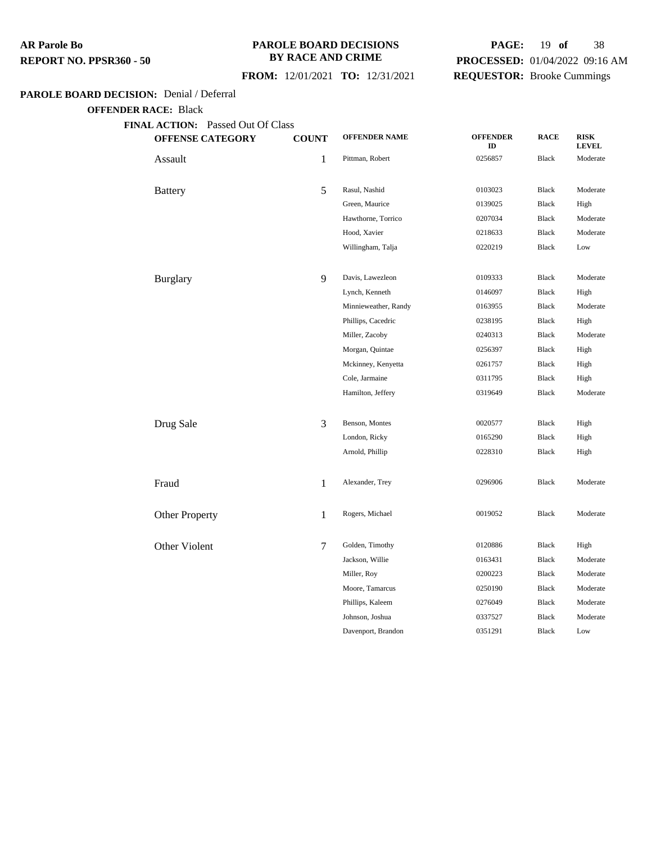#### **PAROLE BOARD DECISIONS BY RACE AND CRIME**

## **FROM:** 12/01/2021 **TO:** 12/31/2021

# **PAGE:** 19 **of** 38 **PROCESSED:** 01/04/2022 09:16 AM **REQUESTOR:** Brooke Cummings

## **PAROLE BOARD DECISION:** Denial / Deferral

| <b>OFFENSE CATEGORY</b> | <b>COUNT</b>   | <b>OFFENDER NAME</b> | <b>OFFENDER</b><br>ID | <b>RACE</b>  | <b>RISK</b><br><b>LEVEL</b> |
|-------------------------|----------------|----------------------|-----------------------|--------------|-----------------------------|
| Assault                 | 1              | Pittman, Robert      | 0256857               | <b>Black</b> | Moderate                    |
| <b>Battery</b>          | 5              | Rasul, Nashid        | 0103023               | <b>Black</b> | Moderate                    |
|                         |                | Green, Maurice       | 0139025               | <b>Black</b> | High                        |
|                         |                | Hawthorne, Torrico   | 0207034               | <b>Black</b> | Moderate                    |
|                         |                | Hood, Xavier         | 0218633               | Black        | Moderate                    |
|                         |                | Willingham, Talja    | 0220219               | <b>Black</b> | Low                         |
| <b>Burglary</b>         | $\overline{9}$ | Davis, Lawezleon     | 0109333               | <b>Black</b> | Moderate                    |
|                         |                | Lynch, Kenneth       | 0146097               | <b>Black</b> | High                        |
|                         |                | Minnieweather, Randy | 0163955               | <b>Black</b> | Moderate                    |
|                         |                | Phillips, Cacedric   | 0238195               | <b>Black</b> | High                        |
|                         |                | Miller, Zacoby       | 0240313               | Black        | Moderate                    |
|                         |                | Morgan, Quintae      | 0256397               | <b>Black</b> | High                        |
|                         |                | Mckinney, Kenyetta   | 0261757               | Black        | High                        |
|                         |                | Cole, Jarmaine       | 0311795               | <b>Black</b> | High                        |
|                         |                | Hamilton, Jeffery    | 0319649               | <b>Black</b> | Moderate                    |
| Drug Sale               | 3              | Benson, Montes       | 0020577               | <b>Black</b> | High                        |
|                         |                | London, Ricky        | 0165290               | <b>Black</b> | High                        |
|                         |                | Arnold, Phillip      | 0228310               | <b>Black</b> | High                        |
| Fraud                   | 1              | Alexander, Trey      | 0296906               | <b>Black</b> | Moderate                    |
| Other Property          | 1              | Rogers, Michael      | 0019052               | <b>Black</b> | Moderate                    |
| Other Violent           | $\tau$         | Golden, Timothy      | 0120886               | <b>Black</b> | High                        |
|                         |                | Jackson, Willie      | 0163431               | <b>Black</b> | Moderate                    |
|                         |                | Miller, Roy          | 0200223               | <b>Black</b> | Moderate                    |
|                         |                | Moore, Tamarcus      | 0250190               | <b>Black</b> | Moderate                    |
|                         |                | Phillips, Kaleem     | 0276049               | <b>Black</b> | Moderate                    |
|                         |                | Johnson, Joshua      | 0337527               | <b>Black</b> | Moderate                    |
|                         |                | Davenport, Brandon   | 0351291               | <b>Black</b> | Low                         |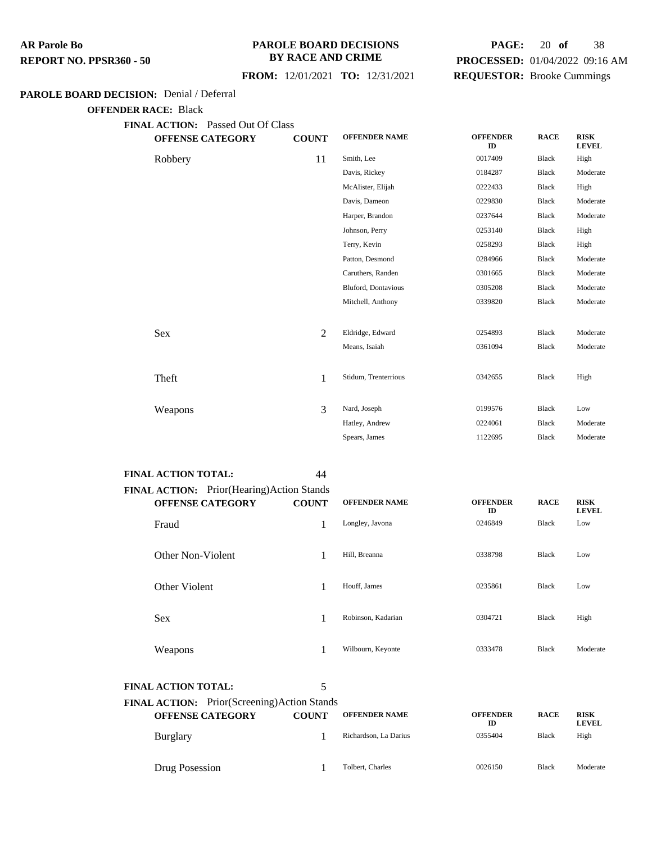### **PAROLE BOARD DECISIONS BY RACE AND CRIME**

# **PAGE:** 20 **of** 38 **PROCESSED:** 01/04/2022 09:16 AM **REQUESTOR:** Brooke Cummings

# **FROM:** 12/01/2021 **TO:** 12/31/2021

## **PAROLE BOARD DECISION:** Denial / Deferral

| <b>FINAL ACTION:</b> Passed Out Of Class<br><b>OFFENSE CATEGORY</b> | <b>COUNT</b> | <b>OFFENDER NAME</b> | <b>OFFENDER</b><br>ID | <b>RACE</b>  | <b>RISK</b><br><b>LEVEL</b> |
|---------------------------------------------------------------------|--------------|----------------------|-----------------------|--------------|-----------------------------|
| Robbery                                                             | 11           | Smith, Lee           | 0017409               | <b>Black</b> | High                        |
|                                                                     |              | Davis, Rickey        | 0184287               | <b>Black</b> | Moderate                    |
|                                                                     |              | McAlister, Elijah    | 0222433               | <b>Black</b> | High                        |
|                                                                     |              | Davis, Dameon        | 0229830               | <b>Black</b> | Moderate                    |
|                                                                     |              | Harper, Brandon      | 0237644               | <b>Black</b> | Moderate                    |
|                                                                     |              | Johnson, Perry       | 0253140               | <b>Black</b> | High                        |
|                                                                     |              | Terry, Kevin         | 0258293               | Black        | High                        |
|                                                                     |              | Patton, Desmond      | 0284966               | <b>Black</b> | Moderate                    |
|                                                                     |              | Caruthers, Randen    | 0301665               | <b>Black</b> | Moderate                    |
|                                                                     |              | Bluford, Dontavious  | 0305208               | <b>Black</b> | Moderate                    |
|                                                                     |              | Mitchell, Anthony    | 0339820               | <b>Black</b> | Moderate                    |
| Sex                                                                 | 2            | Eldridge, Edward     | 0254893               | <b>Black</b> | Moderate                    |
|                                                                     |              | Means, Isaiah        | 0361094               | <b>Black</b> | Moderate                    |
| Theft                                                               | $\mathbf{1}$ | Stidum, Trenterrious | 0342655               | <b>Black</b> | High                        |
| Weapons                                                             | 3            | Nard, Joseph         | 0199576               | <b>Black</b> | Low                         |
|                                                                     |              | Hatley, Andrew       | 0224061               | <b>Black</b> | Moderate                    |
|                                                                     |              | Spears, James        | 1122695               | <b>Black</b> | Moderate                    |

| <b>FINAL ACTION TOTAL:</b>                       | 44           |                      |                       |              |                             |
|--------------------------------------------------|--------------|----------------------|-----------------------|--------------|-----------------------------|
| <b>FINAL ACTION:</b> Prior(Hearing)Action Stands |              |                      |                       |              |                             |
| <b>OFFENSE CATEGORY</b>                          | <b>COUNT</b> | <b>OFFENDER NAME</b> | <b>OFFENDER</b><br>ID | <b>RACE</b>  | <b>RISK</b><br><b>LEVEL</b> |
| Fraud                                            |              | Longley, Javona      | 0246849               | Black        | Low                         |
| Other Non-Violent                                |              | Hill, Breanna        | 0338798               | <b>Black</b> | Low                         |
| Other Violent                                    |              | Houff, James         | 0235861               | <b>Black</b> | Low                         |
| <b>Sex</b>                                       |              | Robinson, Kadarian   | 0304721               | <b>Black</b> | High                        |
| Weapons                                          |              | Wilbourn, Keyonte    | 0333478               | <b>Black</b> | Moderate                    |

| <b>FINAL ACTION TOTAL:</b> |                                                    |                     |
|----------------------------|----------------------------------------------------|---------------------|
|                            | <b>FINAL ACTION:</b> Prior(Screening)Action Stands |                     |
|                            | OFFENSE CATECODV                                   | COLINT OFFENDER NAM |

| <b>OFFENSE CATEGORY</b> | COUNT | <b>OFFENDER NAME</b>  | <b>OFFENDER</b><br>ID | <b>RACE</b>  | <b>RISK</b><br><b>LEVEL</b> |
|-------------------------|-------|-----------------------|-----------------------|--------------|-----------------------------|
| <b>Burglary</b>         |       | Richardson, La Darius | 0355404               | <b>Black</b> | High                        |
| Drug Posession          |       | Tolbert, Charles      | 0026150               | <b>Black</b> | Moderate                    |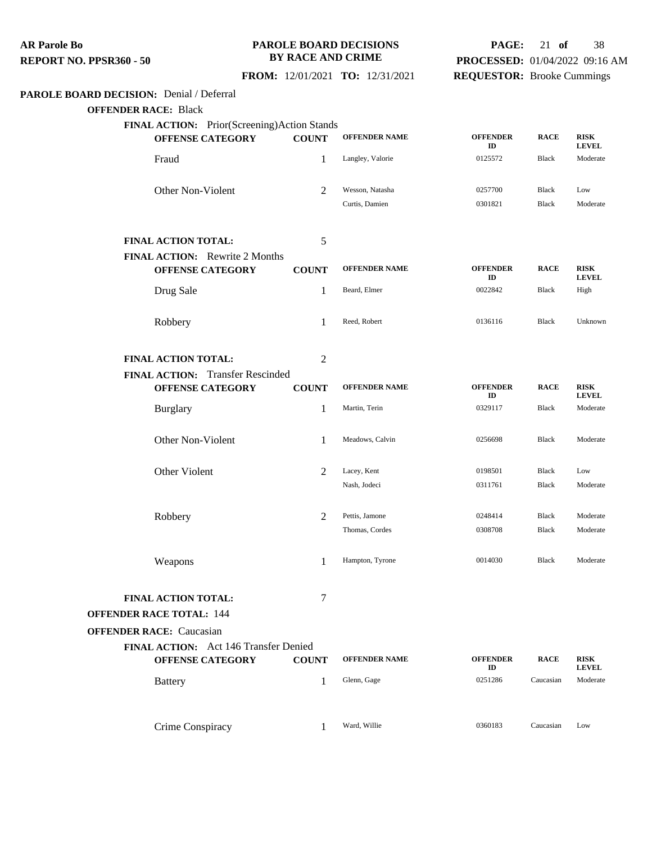#### **PAROLE BOARD DECISIONS BY RACE AND CRIME**

# **PAGE:** 21 **of** 38 **PROCESSED:** 01/04/2022 09:16 AM **REQUESTOR:** Brooke Cummings

 **FROM:** 12/01/2021 **TO:** 12/31/2021

# **PAROLE BOARD DECISION:** Denial / Deferral

| FINAL ACTION: Prior(Screening)Action Stands                      |                |                      |                       |              |                             |  |  |
|------------------------------------------------------------------|----------------|----------------------|-----------------------|--------------|-----------------------------|--|--|
| <b>OFFENSE CATEGORY</b>                                          | <b>COUNT</b>   | <b>OFFENDER NAME</b> | <b>OFFENDER</b><br>ID | <b>RACE</b>  | RISK<br><b>LEVEL</b>        |  |  |
| Fraud                                                            | 1              | Langley, Valorie     | 0125572               | Black        | Moderate                    |  |  |
| Other Non-Violent                                                | 2              | Wesson, Natasha      | 0257700               | <b>Black</b> | Low                         |  |  |
|                                                                  |                | Curtis, Damien       | 0301821               | <b>Black</b> | Moderate                    |  |  |
| <b>FINAL ACTION TOTAL:</b>                                       | 5              |                      |                       |              |                             |  |  |
| <b>FINAL ACTION:</b> Rewrite 2 Months                            |                |                      |                       |              |                             |  |  |
| <b>OFFENSE CATEGORY</b>                                          | <b>COUNT</b>   | <b>OFFENDER NAME</b> | <b>OFFENDER</b><br>ID | <b>RACE</b>  | <b>RISK</b><br><b>LEVEL</b> |  |  |
| Drug Sale                                                        | 1              | Beard, Elmer         | 0022842               | Black        | High                        |  |  |
| Robbery                                                          | 1              | Reed, Robert         | 0136116               | Black        | Unknown                     |  |  |
| <b>FINAL ACTION TOTAL:</b>                                       | $\overline{2}$ |                      |                       |              |                             |  |  |
| FINAL ACTION: Transfer Rescinded                                 |                |                      |                       |              |                             |  |  |
| <b>OFFENSE CATEGORY</b>                                          | <b>COUNT</b>   | <b>OFFENDER NAME</b> | <b>OFFENDER</b><br>ID | <b>RACE</b>  | <b>RISK</b><br><b>LEVEL</b> |  |  |
| <b>Burglary</b>                                                  | 1              | Martin, Terin        | 0329117               | <b>Black</b> | Moderate                    |  |  |
| Other Non-Violent                                                | 1              | Meadows, Calvin      | 0256698               | <b>Black</b> | Moderate                    |  |  |
| Other Violent                                                    | $\overline{2}$ | Lacey, Kent          | 0198501               | <b>Black</b> | Low                         |  |  |
|                                                                  |                | Nash, Jodeci         | 0311761               | Black        | Moderate                    |  |  |
| Robbery                                                          | $\overline{2}$ | Pettis, Jamone       | 0248414               | <b>Black</b> | Moderate                    |  |  |
|                                                                  |                | Thomas, Cordes       | 0308708               | <b>Black</b> | Moderate                    |  |  |
| Weapons                                                          | 1              | Hampton, Tyrone      | 0014030               | Black        | Moderate                    |  |  |
| FINAL ACTION TOTAL:                                              | 7              |                      |                       |              |                             |  |  |
| <b>OFFENDER RACE TOTAL: 144</b>                                  |                |                      |                       |              |                             |  |  |
| <b>OFFENDER RACE: Caucasian</b>                                  |                |                      |                       |              |                             |  |  |
| FINAL ACTION: Act 146 Transfer Denied<br><b>OFFENSE CATEGORY</b> | <b>COUNT</b>   | <b>OFFENDER NAME</b> | <b>OFFENDER</b><br>ID | <b>RACE</b>  | <b>RISK</b><br><b>LEVEL</b> |  |  |
| <b>Battery</b>                                                   | 1              | Glenn, Gage          | 0251286               | Caucasian    | Moderate                    |  |  |
| Crime Conspiracy                                                 | 1              | Ward, Willie         | 0360183               | Caucasian    | Low                         |  |  |
|                                                                  |                |                      |                       |              |                             |  |  |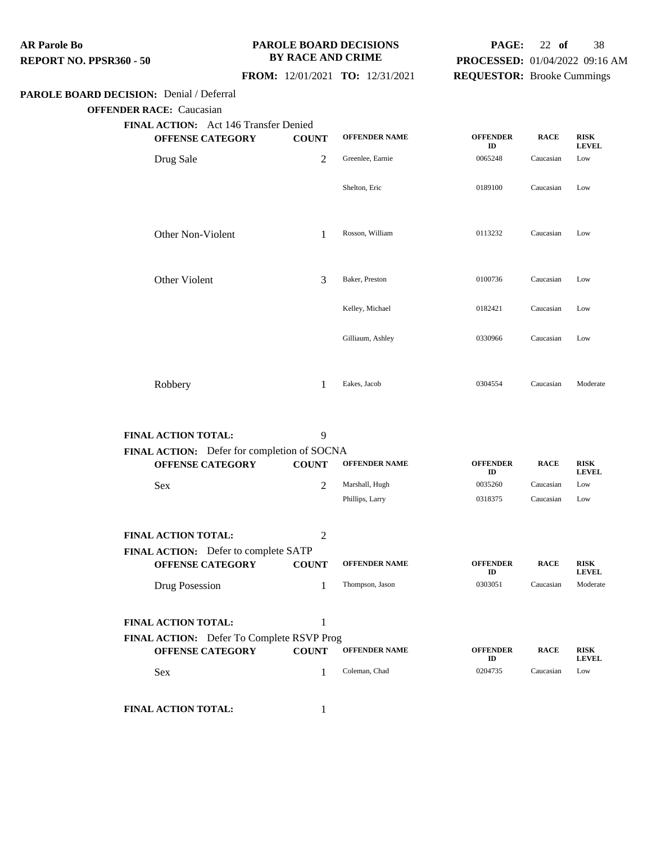#### **PAROLE BOARD DECISIONS BY RACE AND CRIME**

# **PAGE:** 22 **of** 38 **PROCESSED:** 01/04/2022 09:16 AM **REQUESTOR:** Brooke Cummings

## **FROM:** 12/01/2021 **TO:** 12/31/2021

#### **PAROLE BOARD DECISION:** Denial / Deferral

**OFFENDER RACE:** Caucasian

| <b>FINAL ACTION:</b> Act 146 Transfer Denied |              |                      |                       |             |                             |
|----------------------------------------------|--------------|----------------------|-----------------------|-------------|-----------------------------|
| <b>OFFENSE CATEGORY</b>                      | <b>COUNT</b> | <b>OFFENDER NAME</b> | <b>OFFENDER</b><br>ID | <b>RACE</b> | <b>RISK</b><br><b>LEVEL</b> |
| Drug Sale                                    | 2            | Greenlee, Earnie     | 0065248               | Caucasian   | Low                         |
|                                              |              | Shelton, Eric        | 0189100               | Caucasian   | Low                         |
| Other Non-Violent                            | 1            | Rosson, William      | 0113232               | Caucasian   | Low                         |
| Other Violent                                | 3            | Baker, Preston       | 0100736               | Caucasian   | Low                         |
|                                              |              | Kelley, Michael      | 0182421               | Caucasian   | Low                         |
|                                              |              | Gilliaum, Ashley     | 0330966               | Caucasian   | Low                         |
| Robbery                                      | 1            | Eakes, Jacob         | 0304554               | Caucasian   | Moderate                    |

| <b>FINAL ACTION TOTAL:</b>                  | 9              |                      |                       |             |                             |
|---------------------------------------------|----------------|----------------------|-----------------------|-------------|-----------------------------|
| FINAL ACTION: Defer for completion of SOCNA |                |                      |                       |             |                             |
| <b>OFFENSE CATEGORY</b>                     | <b>COUNT</b>   | <b>OFFENDER NAME</b> | <b>OFFENDER</b><br>ID | <b>RACE</b> | <b>RISK</b><br><b>LEVEL</b> |
| <b>Sex</b>                                  | $\overline{2}$ | Marshall, Hugh       | 0035260               | Caucasian   | Low                         |
|                                             |                | Phillips, Larry      | 0318375               | Caucasian   | Low                         |
| <b>FINAL ACTION TOTAL:</b>                  | 2              |                      |                       |             |                             |
| <b>FINAL ACTION:</b> Defer to complete SATP |                |                      |                       |             |                             |
| <b>OFFENSE CATEGORY</b>                     | <b>COUNT</b>   | <b>OFFENDER NAME</b> | <b>OFFENDER</b><br>ID | <b>RACE</b> | <b>RISK</b><br><b>LEVEL</b> |
| Drug Posession                              | 1              | Thompson, Jason      | 0303051               | Caucasian   | Moderate                    |
| <b>FINAL ACTION TOTAL:</b>                  | 1              |                      |                       |             |                             |
| FINAL ACTION: Defer To Complete RSVP Prog   |                |                      |                       |             |                             |
| <b>OFFENSE CATEGORY</b>                     | <b>COUNT</b>   | <b>OFFENDER NAME</b> | <b>OFFENDER</b><br>ID | <b>RACE</b> | <b>RISK</b><br><b>LEVEL</b> |
| <b>Sex</b>                                  | 1              | Coleman, Chad        | 0204735               | Caucasian   | Low                         |
|                                             |                |                      |                       |             |                             |

**FINAL ACTION TOTAL:** 1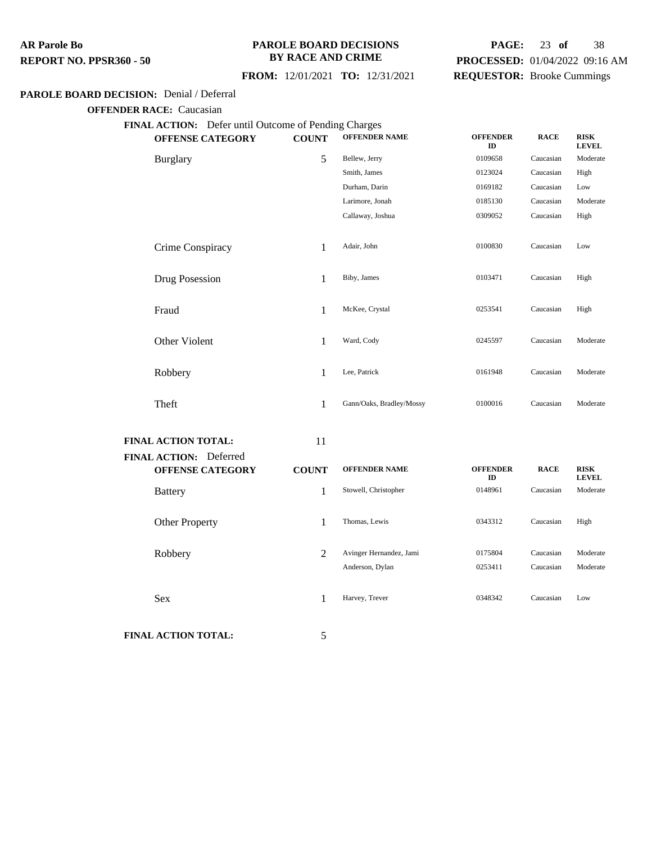#### **PAROLE BOARD DECISIONS BY RACE AND CRIME**

# **PAGE:** 23 **of** 38 **PROCESSED:** 01/04/2022 09:16 AM **REQUESTOR:** Brooke Cummings

## **FROM:** 12/01/2021 **TO:** 12/31/2021

#### **PAROLE BOARD DECISION:** Denial / Deferral

**OFFENDER RACE:** Caucasian

| FINAL ACTION: Defer until Outcome of Pending Charges |              |                          |                       |             |                             |
|------------------------------------------------------|--------------|--------------------------|-----------------------|-------------|-----------------------------|
| <b>OFFENSE CATEGORY</b>                              | <b>COUNT</b> | <b>OFFENDER NAME</b>     | <b>OFFENDER</b><br>ID | <b>RACE</b> | <b>RISK</b><br><b>LEVEL</b> |
| <b>Burglary</b>                                      | 5            | Bellew, Jerry            | 0109658               | Caucasian   | Moderate                    |
|                                                      |              | Smith, James             | 0123024               | Caucasian   | High                        |
|                                                      |              | Durham, Darin            | 0169182               | Caucasian   | Low                         |
|                                                      |              | Larimore, Jonah          | 0185130               | Caucasian   | Moderate                    |
|                                                      |              | Callaway, Joshua         | 0309052               | Caucasian   | High                        |
| Crime Conspiracy                                     | 1            | Adair, John              | 0100830               | Caucasian   | Low                         |
| Drug Posession                                       | 1            | Biby, James              | 0103471               | Caucasian   | High                        |
| Fraud                                                | 1            | McKee, Crystal           | 0253541               | Caucasian   | High                        |
| Other Violent                                        | 1            | Ward, Cody               | 0245597               | Caucasian   | Moderate                    |
| Robbery                                              | 1            | Lee, Patrick             | 0161948               | Caucasian   | Moderate                    |
| Theft                                                | 1            | Gann/Oaks, Bradley/Mossy | 0100016               | Caucasian   | Moderate                    |
| <b>FINAL ACTION TOTAL:</b>                           | 11           |                          |                       |             |                             |
| FINAL ACTION: Deferred<br><b>OFFENSE CATEGORY</b>    | <b>COUNT</b> | <b>OFFENDER NAME</b>     | <b>OFFENDER</b><br>ID | <b>RACE</b> | <b>RISK</b><br><b>LEVEL</b> |
| <b>Battery</b>                                       | 1            | Stowell, Christopher     | 0148961               | Caucasian   | Moderate                    |
| Other Property                                       | 1            | Thomas, Lewis            | 0343312               | Caucasian   | High                        |
| Robbery                                              | 2            | Avinger Hernandez, Jami  | 0175804               | Caucasian   | Moderate                    |
|                                                      |              | Anderson, Dylan          | 0253411               | Caucasian   | Moderate                    |

**FINAL ACTION TOTAL:** 5

Sex 1 Harvey, Trever 0348342 Caucasian Low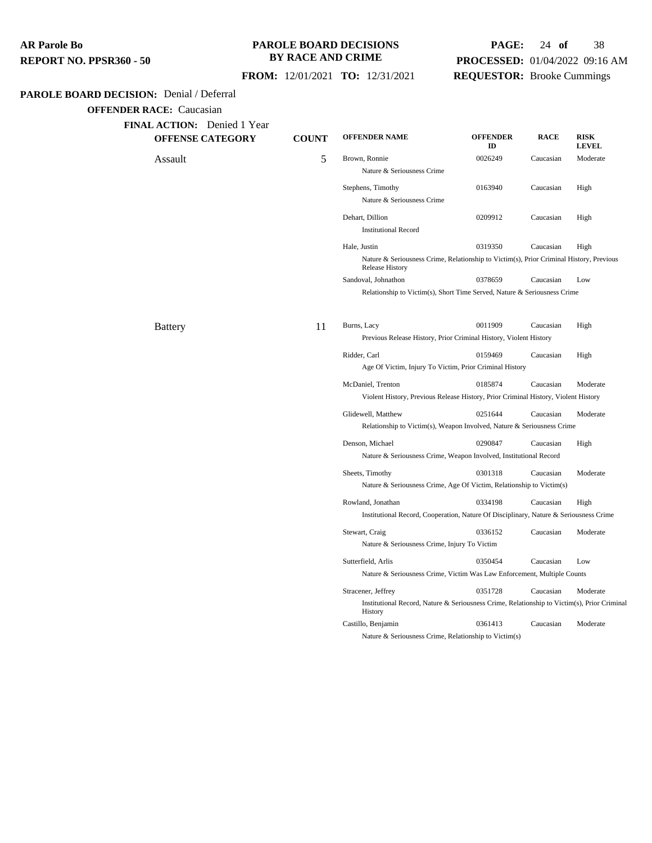| AR Parole Bo            |  |
|-------------------------|--|
| REPORT NO. PPSR360 - 50 |  |

#### **PAROLE BOARD DECISIONS BY RACE AND CRIME**

# **PAGE:** 24 **of** 38 **PROCESSED:** 01/04/2022 09:16 AM **REQUESTOR:** Brooke Cummings

 **FROM:** 12/01/2021 **TO:** 12/31/2021

## **PAROLE BOARD DECISION:** Denial / Deferral

| FINAL ACTION: Denied 1 Year |              |                                                                                                                   |                       |             |                             |  |
|-----------------------------|--------------|-------------------------------------------------------------------------------------------------------------------|-----------------------|-------------|-----------------------------|--|
| <b>OFFENSE CATEGORY</b>     | <b>COUNT</b> | <b>OFFENDER NAME</b>                                                                                              | <b>OFFENDER</b><br>ID | <b>RACE</b> | <b>RISK</b><br><b>LEVEL</b> |  |
| Assault                     | 5            | Brown, Ronnie                                                                                                     | 0026249               | Caucasian   | Moderate                    |  |
|                             |              | Nature & Seriousness Crime                                                                                        |                       |             |                             |  |
|                             |              | Stephens, Timothy                                                                                                 | 0163940               | Caucasian   | High                        |  |
|                             |              | Nature & Seriousness Crime                                                                                        |                       |             |                             |  |
|                             |              | Dehart, Dillion                                                                                                   | 0209912               | Caucasian   | High                        |  |
|                             |              | <b>Institutional Record</b>                                                                                       |                       |             |                             |  |
|                             |              | Hale, Justin                                                                                                      | 0319350               | Caucasian   | High                        |  |
|                             |              | Nature & Seriousness Crime, Relationship to Victim(s), Prior Criminal History, Previous<br><b>Release History</b> |                       |             |                             |  |
|                             |              | Sandoval, Johnathon                                                                                               | 0378659               | Caucasian   | Low                         |  |
|                             |              | Relationship to Victim(s), Short Time Served, Nature & Seriousness Crime                                          |                       |             |                             |  |
| <b>Battery</b>              | 11           | Burns, Lacy                                                                                                       | 0011909               | Caucasian   | High                        |  |
|                             |              | Previous Release History, Prior Criminal History, Violent History                                                 |                       |             |                             |  |
|                             |              | Ridder, Carl                                                                                                      | 0159469               | Caucasian   | High                        |  |
|                             |              | Age Of Victim, Injury To Victim, Prior Criminal History                                                           |                       |             |                             |  |
|                             |              | McDaniel, Trenton                                                                                                 | 0185874               | Caucasian   | Moderate                    |  |
|                             |              | Violent History, Previous Release History, Prior Criminal History, Violent History                                |                       |             |                             |  |
|                             |              | Glidewell, Matthew                                                                                                | 0251644               | Caucasian   | Moderate                    |  |
|                             |              | Relationship to Victim(s), Weapon Involved, Nature & Seriousness Crime                                            |                       |             |                             |  |
|                             |              | Denson, Michael                                                                                                   | 0290847               | Caucasian   | High                        |  |
|                             |              | Nature & Seriousness Crime, Weapon Involved, Institutional Record                                                 |                       |             |                             |  |
|                             |              | Sheets, Timothy                                                                                                   | 0301318               | Caucasian   | Moderate                    |  |
|                             |              | Nature & Seriousness Crime, Age Of Victim, Relationship to Victim(s)                                              |                       |             |                             |  |
|                             |              | Rowland, Jonathan                                                                                                 | 0334198               | Caucasian   | High                        |  |
|                             |              | Institutional Record, Cooperation, Nature Of Disciplinary, Nature & Seriousness Crime                             |                       |             |                             |  |
|                             |              | Stewart, Craig                                                                                                    | 0336152               | Caucasian   | Moderate                    |  |
|                             |              | Nature & Seriousness Crime, Injury To Victim                                                                      |                       |             |                             |  |
|                             |              | Sutterfield, Arlis                                                                                                | 0350454               | Caucasian   | Low                         |  |
|                             |              | Nature & Seriousness Crime, Victim Was Law Enforcement, Multiple Counts                                           |                       |             |                             |  |
|                             |              | Stracener, Jeffrey                                                                                                | 0351728               | Caucasian   | Moderate                    |  |
|                             |              | Institutional Record, Nature & Seriousness Crime, Relationship to Victim(s), Prior Criminal<br>History            |                       |             |                             |  |
|                             |              | Castillo, Benjamin                                                                                                | 0361413               | Caucasian   | Moderate                    |  |
|                             |              | Nature & Seriousness Crime, Relationship to Victim(s)                                                             |                       |             |                             |  |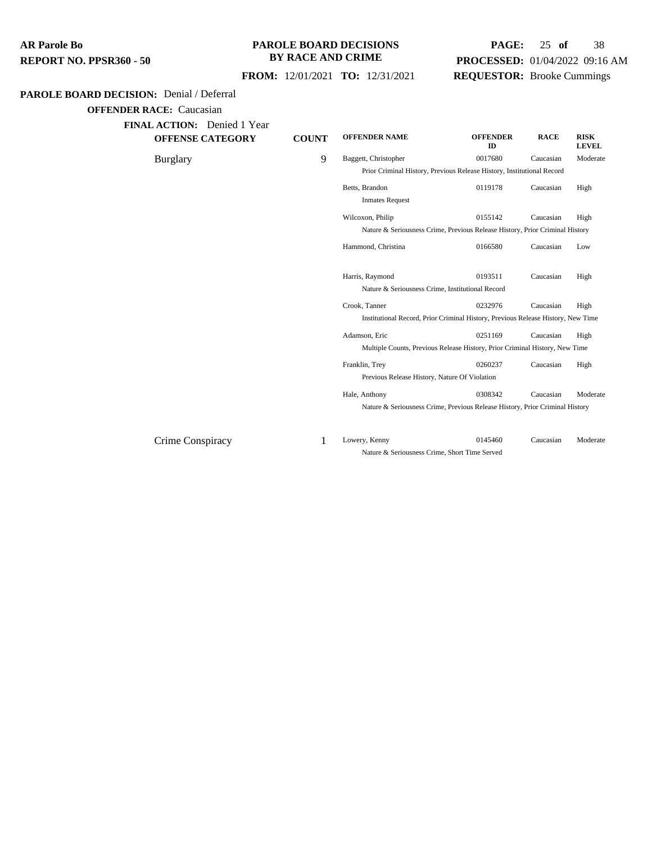### **PAROLE BOARD DECISIONS BY RACE AND CRIME**

# **PAGE:** 25 **of** 38 **PROCESSED:** 01/04/2022 09:16 AM **REQUESTOR:** Brooke Cummings

## **FROM:** 12/01/2021 **TO:** 12/31/2021

#### **PAROLE BOARD DECISION:** Denial / Deferral

**OFFENDER RACE:** Caucasian

**FINAL ACTION:** Denied 1 Year

**OFFENSE CATEGORY** 

| <b>COUNT</b> | <b>OFFENDER NAME</b>   | <b>OFFENDER</b><br>ID | <b>RACE</b>                                                                                       | <b>RISK</b><br><b>LEVEL</b>                                                                                                                                                                                                                                                                                                                                                                               |
|--------------|------------------------|-----------------------|---------------------------------------------------------------------------------------------------|-----------------------------------------------------------------------------------------------------------------------------------------------------------------------------------------------------------------------------------------------------------------------------------------------------------------------------------------------------------------------------------------------------------|
| 9            | Baggett, Christopher   | 0017680               | Caucasian                                                                                         | Moderate                                                                                                                                                                                                                                                                                                                                                                                                  |
|              |                        |                       |                                                                                                   |                                                                                                                                                                                                                                                                                                                                                                                                           |
|              | Betts, Brandon         | 0119178               | Caucasian                                                                                         | High                                                                                                                                                                                                                                                                                                                                                                                                      |
|              | <b>Inmates Request</b> |                       |                                                                                                   |                                                                                                                                                                                                                                                                                                                                                                                                           |
|              | Wilcoxon, Philip       | 0155142               | Caucasian                                                                                         | High                                                                                                                                                                                                                                                                                                                                                                                                      |
|              |                        |                       |                                                                                                   |                                                                                                                                                                                                                                                                                                                                                                                                           |
|              | Hammond, Christina     | 0166580               | Caucasian                                                                                         | Low                                                                                                                                                                                                                                                                                                                                                                                                       |
|              | Harris, Raymond        | 0193511               | Caucasian                                                                                         | High                                                                                                                                                                                                                                                                                                                                                                                                      |
|              |                        |                       |                                                                                                   |                                                                                                                                                                                                                                                                                                                                                                                                           |
|              | Crook, Tanner          | 0232976               | Caucasian                                                                                         | High                                                                                                                                                                                                                                                                                                                                                                                                      |
|              |                        |                       |                                                                                                   |                                                                                                                                                                                                                                                                                                                                                                                                           |
|              | Adamson, Eric          | 0251169               | Caucasian                                                                                         | High                                                                                                                                                                                                                                                                                                                                                                                                      |
|              |                        |                       |                                                                                                   |                                                                                                                                                                                                                                                                                                                                                                                                           |
|              | Franklin, Trev         | 0260237               | Caucasian                                                                                         | High                                                                                                                                                                                                                                                                                                                                                                                                      |
|              |                        |                       |                                                                                                   |                                                                                                                                                                                                                                                                                                                                                                                                           |
|              | Hale, Anthony          | 0308342               | Caucasian                                                                                         | Moderate                                                                                                                                                                                                                                                                                                                                                                                                  |
|              |                        |                       |                                                                                                   |                                                                                                                                                                                                                                                                                                                                                                                                           |
|              |                        |                       |                                                                                                   |                                                                                                                                                                                                                                                                                                                                                                                                           |
|              |                        |                       | Nature & Seriousness Crime, Institutional Record<br>Previous Release History, Nature Of Violation | Prior Criminal History, Previous Release History, Institutional Record<br>Nature & Seriousness Crime, Previous Release History, Prior Criminal History<br>Institutional Record, Prior Criminal History, Previous Release History, New Time<br>Multiple Counts, Previous Release History, Prior Criminal History, New Time<br>Nature & Seriousness Crime, Previous Release History, Prior Criminal History |

Crime Conspiracy 1 Lowery, Kenny 0145460 Caucasian Moderate Nature & Seriousness Crime, Short Time Served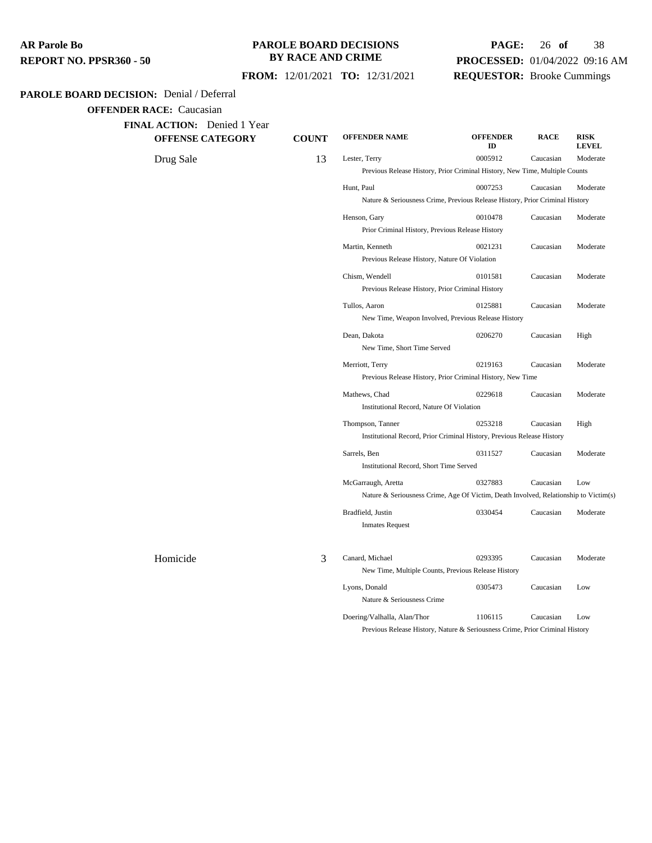#### **PAROLE BOARD DECISIONS BY RACE AND CRIME**

# **PAGE:** 26 **of** 38 **PROCESSED:** 01/04/2022 09:16 AM **REQUESTOR:** Brooke Cummings

## **FROM:** 12/01/2021 **TO:** 12/31/2021

#### **PAROLE BOARD DECISION:** Denial / Deferral

**OFFENDER RACE:** Caucasian

| <b>FINAL ACTION:</b> Denied 1 Year |  |
|------------------------------------|--|
|------------------------------------|--|

**OFFENSE CATEGORY COUNT** 

| <b>ACTION:</b> Denied I Year<br><b>OFFENSE CATEGORY</b> | <b>COUNT</b> | <b>OFFENDER NAME</b>                                                                 | <b>OFFENDER</b><br>ID | <b>RACE</b> | <b>RISK</b><br><b>LEVEL</b> |  |  |  |
|---------------------------------------------------------|--------------|--------------------------------------------------------------------------------------|-----------------------|-------------|-----------------------------|--|--|--|
| Drug Sale                                               | 13           | Lester, Terry                                                                        | 0005912               | Caucasian   | Moderate                    |  |  |  |
|                                                         |              | Previous Release History, Prior Criminal History, New Time, Multiple Counts          |                       |             |                             |  |  |  |
|                                                         |              | Hunt, Paul                                                                           | 0007253               | Caucasian   | Moderate                    |  |  |  |
|                                                         |              | Nature & Seriousness Crime, Previous Release History, Prior Criminal History         |                       |             |                             |  |  |  |
|                                                         |              | Henson, Gary                                                                         | 0010478               | Caucasian   | Moderate                    |  |  |  |
|                                                         |              | Prior Criminal History, Previous Release History                                     |                       |             |                             |  |  |  |
|                                                         |              | Martin, Kenneth                                                                      | 0021231               | Caucasian   | Moderate                    |  |  |  |
|                                                         |              | Previous Release History, Nature Of Violation                                        |                       |             |                             |  |  |  |
|                                                         |              | Chism, Wendell                                                                       | 0101581               | Caucasian   | Moderate                    |  |  |  |
|                                                         |              | Previous Release History, Prior Criminal History                                     |                       |             |                             |  |  |  |
|                                                         |              | Tullos, Aaron                                                                        | 0125881               | Caucasian   | Moderate                    |  |  |  |
|                                                         |              | New Time, Weapon Involved, Previous Release History                                  |                       |             |                             |  |  |  |
|                                                         |              | Dean, Dakota                                                                         | 0206270               | Caucasian   | High                        |  |  |  |
|                                                         |              | New Time, Short Time Served                                                          |                       |             |                             |  |  |  |
|                                                         |              | Merriott, Terry                                                                      | 0219163               | Caucasian   | Moderate                    |  |  |  |
|                                                         |              | Previous Release History, Prior Criminal History, New Time                           |                       |             |                             |  |  |  |
|                                                         |              | Mathews, Chad                                                                        | 0229618               | Caucasian   | Moderate                    |  |  |  |
|                                                         |              | Institutional Record, Nature Of Violation                                            |                       |             |                             |  |  |  |
|                                                         |              | Thompson, Tanner                                                                     | 0253218               | Caucasian   | High                        |  |  |  |
|                                                         |              | Institutional Record, Prior Criminal History, Previous Release History               |                       |             |                             |  |  |  |
|                                                         |              | Sarrels, Ben                                                                         | 0311527               | Caucasian   | Moderate                    |  |  |  |
|                                                         |              | Institutional Record, Short Time Served                                              |                       |             |                             |  |  |  |
|                                                         |              | McGarraugh, Aretta                                                                   | 0327883               | Caucasian   | Low                         |  |  |  |
|                                                         |              | Nature & Seriousness Crime, Age Of Victim, Death Involved, Relationship to Victim(s) |                       |             |                             |  |  |  |
|                                                         |              | Bradfield, Justin                                                                    | 0330454               | Caucasian   | Moderate                    |  |  |  |
|                                                         |              | <b>Inmates Request</b>                                                               |                       |             |                             |  |  |  |
| Homicide                                                | 3            | Canard, Michael                                                                      | 0293395               | Caucasian   | Moderate                    |  |  |  |
|                                                         |              | New Time, Multiple Counts, Previous Release History                                  |                       |             |                             |  |  |  |
|                                                         |              | Lyons, Donald                                                                        | 0305473               | Caucasian   | Low                         |  |  |  |
|                                                         |              | Nature & Seriousness Crime                                                           |                       |             |                             |  |  |  |
|                                                         |              | Doering/Valhalla, Alan/Thor                                                          | 1106115               | Caucasian   | Low                         |  |  |  |
|                                                         |              | Previous Release History, Nature & Seriousness Crime, Prior Criminal History         |                       |             |                             |  |  |  |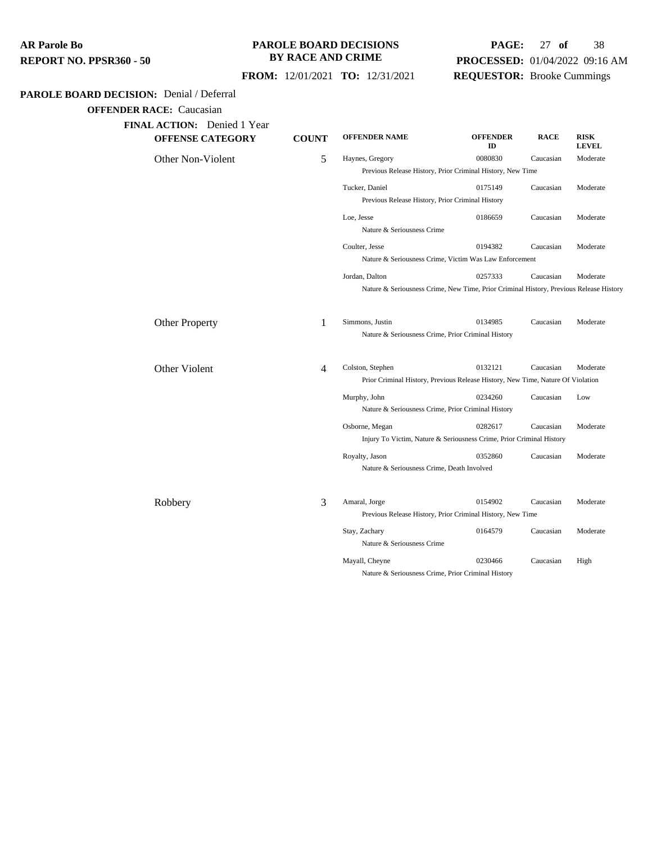| AR Parole Bo            |  |
|-------------------------|--|
| REPORT NO. PPSR360 - 50 |  |

## **PAROLE BOARD DECISIONS BY RACE AND CRIME**

# **PAGE:** 27 **of** 38 **PROCESSED:** 01/04/2022 09:16 AM **REQUESTOR:** Brooke Cummings

## **FROM:** 12/01/2021 **TO:** 12/31/2021

## **PAROLE BOARD DECISION:** Denial / Deferral

| <b>FINAL ACTION:</b> Denied 1 Year<br><b>OFFENSE CATEGORY</b> | <b>COUNT</b>   | <b>OFFENDER NAME</b>                                                                   | <b>OFFENDER</b><br>ID | <b>RACE</b> | <b>RISK</b><br><b>LEVEL</b> |
|---------------------------------------------------------------|----------------|----------------------------------------------------------------------------------------|-----------------------|-------------|-----------------------------|
| Other Non-Violent                                             | 5              | Haynes, Gregory                                                                        | 0080830               | Caucasian   | Moderate                    |
|                                                               |                | Previous Release History, Prior Criminal History, New Time                             |                       |             |                             |
|                                                               |                | Tucker, Daniel                                                                         | 0175149               | Caucasian   | Moderate                    |
|                                                               |                | Previous Release History, Prior Criminal History                                       |                       |             |                             |
|                                                               |                | Loe, Jesse                                                                             | 0186659               | Caucasian   | Moderate                    |
|                                                               |                | Nature & Seriousness Crime                                                             |                       |             |                             |
|                                                               |                | Coulter, Jesse                                                                         | 0194382               | Caucasian   | Moderate                    |
|                                                               |                | Nature & Seriousness Crime, Victim Was Law Enforcement                                 |                       |             |                             |
|                                                               |                | Jordan, Dalton                                                                         | 0257333               | Caucasian   | Moderate                    |
|                                                               |                | Nature & Seriousness Crime, New Time, Prior Criminal History, Previous Release History |                       |             |                             |
|                                                               |                |                                                                                        |                       |             |                             |
| <b>Other Property</b>                                         | 1              | Simmons, Justin                                                                        | 0134985               | Caucasian   | Moderate                    |
|                                                               |                | Nature & Seriousness Crime, Prior Criminal History                                     |                       |             |                             |
| Other Violent                                                 | $\overline{4}$ | Colston, Stephen                                                                       | 0132121               | Caucasian   | Moderate                    |
|                                                               |                | Prior Criminal History, Previous Release History, New Time, Nature Of Violation        |                       |             |                             |
|                                                               |                | Murphy, John                                                                           | 0234260               | Caucasian   | Low                         |
|                                                               |                | Nature & Seriousness Crime, Prior Criminal History                                     |                       |             |                             |
|                                                               |                | Osborne, Megan                                                                         | 0282617               | Caucasian   | Moderate                    |
|                                                               |                | Injury To Victim, Nature & Seriousness Crime, Prior Criminal History                   |                       |             |                             |
|                                                               |                | Royalty, Jason                                                                         | 0352860               | Caucasian   | Moderate                    |
|                                                               |                | Nature & Seriousness Crime, Death Involved                                             |                       |             |                             |
| Robbery                                                       | 3              | Amaral, Jorge                                                                          | 0154902               | Caucasian   | Moderate                    |
|                                                               |                | Previous Release History, Prior Criminal History, New Time                             |                       |             |                             |
|                                                               |                | Stay, Zachary                                                                          | 0164579               | Caucasian   | Moderate                    |
|                                                               |                | Nature & Seriousness Crime                                                             |                       |             |                             |
|                                                               |                | Mayall, Cheyne                                                                         | 0230466               | Caucasian   | High                        |
|                                                               |                | Nature & Seriousness Crime, Prior Criminal History                                     |                       |             |                             |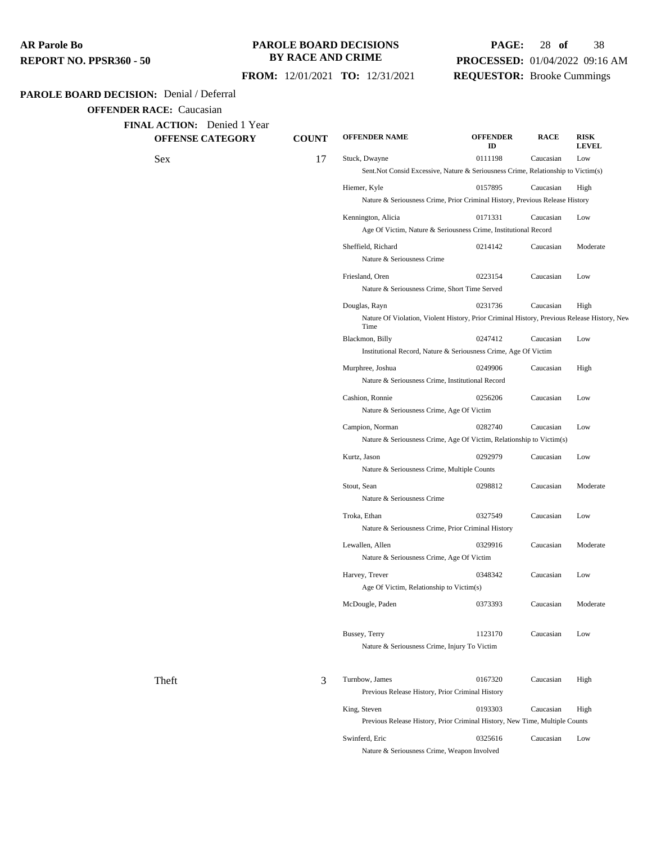#### **PAROLE BOARD DECISIONS BY RACE AND CRIME**

## **PAGE:** 28 **of** 38 **PROCESSED:** 01/04/2022 09:16 AM **REQUESTOR:** Brooke Cummings

**RACE RISK**

**LEVEL**

**ID**

#### **FROM:** 12/01/2021 **TO:** 12/31/2021

#### **PAROLE BOARD DECISION:** Denial / Deferral

**OFFENDER RACE:** Caucasian

**FINAL ACTION:** Denied 1 Year

**OFFENSE CATEGORY COUNT OFFENDER NAME OFFENDER**

Sex 17 Stuck, Dwayne 0111198 Caucasian Low Sent.Not Consid Excessive, Nature & Seriousness Crime, Relationship to Victim(s) Hiemer, Kyle 0157895 Caucasian High Nature & Seriousness Crime, Prior Criminal History, Previous Release History Kennington, Alicia 0171331 Caucasian Low Age Of Victim, Nature & Seriousness Crime, Institutional Record Sheffield, Richard 0214142 Caucasian Moderate Nature & Seriousness Crime Friesland, Oren 0223154 Caucasian Low Nature & Seriousness Crime, Short Time Served Douglas, Rayn 0231736 Caucasian High Nature Of Violation, Violent History, Prior Criminal History, Previous Release History, New Time Blackmon, Billy 0247412 Caucasian Low Institutional Record, Nature & Seriousness Crime, Age Of Victim Murphree, Joshua 0249906 Caucasian High Nature & Seriousness Crime, Institutional Record Cashion, Ronnie 0256206 Caucasian Low Nature & Seriousness Crime, Age Of Victim Campion, Norman 0282740 Caucasian Low Nature & Seriousness Crime, Age Of Victim, Relationship to Victim(s) Kurtz, Jason 0292979 Caucasian Low Nature & Seriousness Crime, Multiple Counts Stout, Sean 0298812 Caucasian Moderate Nature & Seriousness Crime Troka, Ethan 0327549 Caucasian Low Nature & Seriousness Crime, Prior Criminal History Lewallen, Allen 0329916 Caucasian Moderate Nature & Seriousness Crime, Age Of Victim Harvey, Trever **1200 Caucasian** Low Age Of Victim, Relationship to Victim(s) McDougle, Paden 0373393 Caucasian Moderate Bussey, Terry 1123170 Caucasian Low Nature & Seriousness Crime, Injury To Victim Theft 3 Turnbow, James 0167320 Caucasian High Previous Release History, Prior Criminal History King, Steven 0193303 Caucasian High Previous Release History, Prior Criminal History, New Time, Multiple Counts Swinferd, Eric 6325616 Caucasian Low Nature & Seriousness Crime, Weapon Involved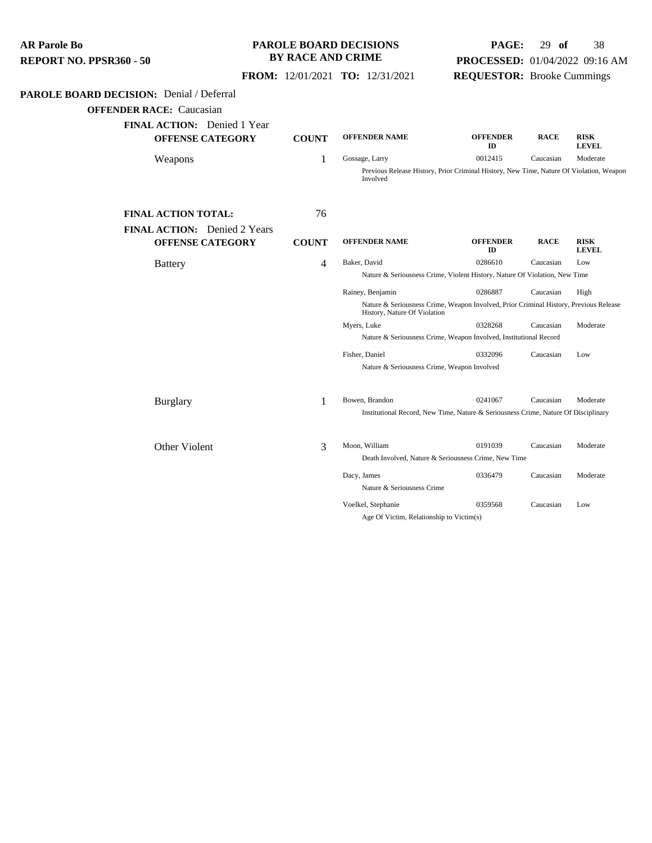| AR Parole Bo                   |  |
|--------------------------------|--|
| <b>REPORT NO. PPSR360 - 50</b> |  |

## **PAROLE BOARD DECISIONS BY RACE AND CRIME**

# **PAGE:** 29 **of** 38 **PROCESSED:** 01/04/2022 09:16 AM

 **FROM:** 12/01/2021 **TO:** 12/31/2021

# **REQUESTOR:** Brooke Cummings

## **PAROLE BOARD DECISION:** Denial / Deferral

| <b>FINAL ACTION:</b> Denied 1 Year<br><b>OFFENSE CATEGORY</b> | <b>COUNT</b> | <b>OFFENDER NAME</b>                        | <b>OFFENDER</b><br>ID                                                                   | <b>RACE</b> | <b>RISK</b><br><b>LEVEL</b> |
|---------------------------------------------------------------|--------------|---------------------------------------------|-----------------------------------------------------------------------------------------|-------------|-----------------------------|
| Weapons                                                       | 1            | Gossage, Larry                              | 0012415                                                                                 | Caucasian   | Moderate                    |
|                                                               |              | Involved                                    | Previous Release History, Prior Criminal History, New Time, Nature Of Violation, Weapon |             |                             |
| <b>FINAL ACTION TOTAL:</b>                                    | 76           |                                             |                                                                                         |             |                             |
| <b>FINAL ACTION:</b> Denied 2 Years                           |              |                                             |                                                                                         |             |                             |
| <b>OFFENSE CATEGORY</b>                                       | <b>COUNT</b> | <b>OFFENDER NAME</b>                        | <b>OFFENDER</b><br>ID                                                                   | <b>RACE</b> | <b>RISK</b><br><b>LEVEL</b> |
| <b>Battery</b>                                                | 4            | Baker, David                                | 0286610                                                                                 | Caucasian   | Low                         |
|                                                               |              |                                             | Nature & Seriousness Crime, Violent History, Nature Of Violation, New Time              |             |                             |
|                                                               |              | Rainey, Benjamin                            | 0286887                                                                                 | Caucasian   | High                        |
|                                                               |              | History, Nature Of Violation                | Nature & Seriousness Crime, Weapon Involved, Prior Criminal History, Previous Release   |             |                             |
|                                                               |              | Myers, Luke                                 | 0328268                                                                                 | Caucasian   | Moderate                    |
|                                                               |              |                                             | Nature & Seriousness Crime, Weapon Involved, Institutional Record                       |             |                             |
|                                                               |              | Fisher, Daniel                              | 0332096                                                                                 | Caucasian   | Low                         |
|                                                               |              | Nature & Seriousness Crime, Weapon Involved |                                                                                         |             |                             |
| <b>Burglary</b>                                               | 1            | Bowen, Brandon                              | 0241067                                                                                 | Caucasian   | Moderate                    |
|                                                               |              |                                             | Institutional Record, New Time, Nature & Seriousness Crime, Nature Of Disciplinary      |             |                             |
| Other Violent                                                 | 3            | Moon, William                               | 0191039                                                                                 | Caucasian   | Moderate                    |
|                                                               |              |                                             | Death Involved, Nature & Seriousness Crime, New Time                                    |             |                             |
|                                                               |              | Dacy, James                                 | 0336479                                                                                 | Caucasian   | Moderate                    |
|                                                               |              | Nature & Seriousness Crime                  |                                                                                         |             |                             |
|                                                               |              | Voelkel, Stephanie                          | 0359568                                                                                 | Caucasian   | Low                         |
|                                                               |              | Age Of Victim, Relationship to Victim(s)    |                                                                                         |             |                             |
|                                                               |              |                                             |                                                                                         |             |                             |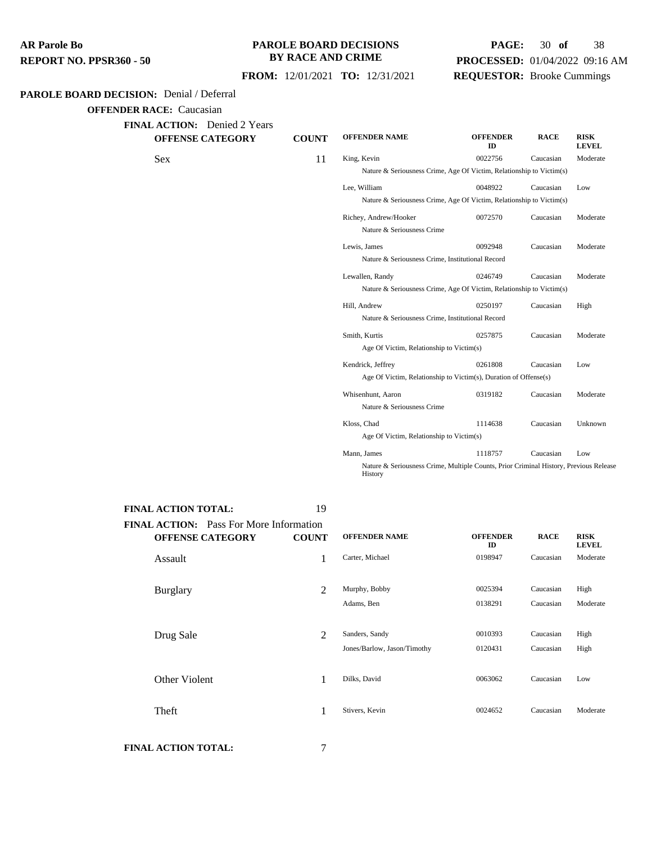#### **PAROLE BOARD DECISIONS BY RACE AND CRIME**

# **PAGE:** 30 **of** 38 **PROCESSED:** 01/04/2022 09:16 AM **REQUESTOR:** Brooke Cummings

## **FROM:** 12/01/2021 **TO:** 12/31/2021

#### **PAROLE BOARD DECISION:** Denial / Deferral

**OFFENDER RACE:** Caucasian

| <b>FINAL ACTION:</b> Denied 2 Years<br><b>OFFENSE CATEGORY</b> | <b>COUNT</b> | <b>OFFENDER NAME</b>                                                 | <b>OFFENDER</b><br>ID | <b>RACE</b> | <b>RISK</b><br><b>LEVEL</b> |
|----------------------------------------------------------------|--------------|----------------------------------------------------------------------|-----------------------|-------------|-----------------------------|
| Sex                                                            |              | King, Kevin                                                          | 0022756               | Caucasian   | Moderate                    |
|                                                                |              | Nature & Seriousness Crime, Age Of Victim, Relationship to Victim(s) |                       |             |                             |
|                                                                |              | Lee. William                                                         | 0048922               | Caucasian   | Low                         |
|                                                                |              | Nature & Seriousness Crime. Age Of Victim. Relationship to Victim(s) |                       |             |                             |

| Nature & Seriousness Crime, Age Of Victim, Relationship to Victim(s)                  |         |           |          |  |  |  |  |
|---------------------------------------------------------------------------------------|---------|-----------|----------|--|--|--|--|
| Lee, William                                                                          | 0048922 | Caucasian | Low      |  |  |  |  |
| Nature & Seriousness Crime, Age Of Victim, Relationship to Victim(s)                  |         |           |          |  |  |  |  |
| Richey, Andrew/Hooker                                                                 | 0072570 | Caucasian | Moderate |  |  |  |  |
| Nature & Seriousness Crime                                                            |         |           |          |  |  |  |  |
| Lewis, James                                                                          | 0092948 | Caucasian | Moderate |  |  |  |  |
| Nature & Seriousness Crime, Institutional Record                                      |         |           |          |  |  |  |  |
| Lewallen, Randy                                                                       | 0246749 | Caucasian | Moderate |  |  |  |  |
| Nature & Seriousness Crime, Age Of Victim, Relationship to Victim(s)                  |         |           |          |  |  |  |  |
| Hill, Andrew                                                                          | 0250197 | Caucasian | High     |  |  |  |  |
| Nature & Seriousness Crime, Institutional Record                                      |         |           |          |  |  |  |  |
| Smith, Kurtis                                                                         | 0257875 | Caucasian | Moderate |  |  |  |  |
| Age Of Victim, Relationship to Victim(s)                                              |         |           |          |  |  |  |  |
| Kendrick, Jeffrey                                                                     | 0261808 | Caucasian | Low      |  |  |  |  |
| Age Of Victim, Relationship to Victim(s), Duration of Offense(s)                      |         |           |          |  |  |  |  |
| Whisenhunt, Aaron                                                                     | 0319182 | Caucasian | Moderate |  |  |  |  |
| Nature & Seriousness Crime                                                            |         |           |          |  |  |  |  |
| Kloss, Chad                                                                           | 1114638 | Caucasian | Unknown  |  |  |  |  |
| Age Of Victim, Relationship to Victim(s)                                              |         |           |          |  |  |  |  |
| Mann, James                                                                           | 1118757 | Caucasian | Low      |  |  |  |  |
| Nature & Seriousness Crime, Multiple Counts, Prior Criminal History, Previous Release |         |           |          |  |  |  |  |

Nature & Seriousness Crime, Multiple Counts, Prior Criminal History, Previous Release History

| <b>FINAL ACTION TOTAL:</b>                                                | 19           |                                               |                       |                        |                             |
|---------------------------------------------------------------------------|--------------|-----------------------------------------------|-----------------------|------------------------|-----------------------------|
| <b>FINAL ACTION:</b> Pass For More Information<br><b>OFFENSE CATEGORY</b> | <b>COUNT</b> | <b>OFFENDER NAME</b>                          | <b>OFFENDER</b><br>ID | <b>RACE</b>            | <b>RISK</b><br><b>LEVEL</b> |
| Assault                                                                   | 1            | Carter, Michael                               | 0198947               | Caucasian              | Moderate                    |
| <b>Burglary</b>                                                           | 2            | Murphy, Bobby<br>Adams, Ben                   | 0025394<br>0138291    | Caucasian<br>Caucasian | High<br>Moderate            |
| Drug Sale                                                                 | 2            | Sanders, Sandy<br>Jones/Barlow, Jason/Timothy | 0010393<br>0120431    | Caucasian<br>Caucasian | High<br>High                |
| Other Violent                                                             | 1            | Dilks, David                                  | 0063062               | Caucasian              | Low                         |
| Theft                                                                     | 1            | Stivers, Kevin                                | 0024652               | Caucasian              | Moderate                    |
|                                                                           |              |                                               |                       |                        |                             |

**FINAL ACTION TOTAL:** 7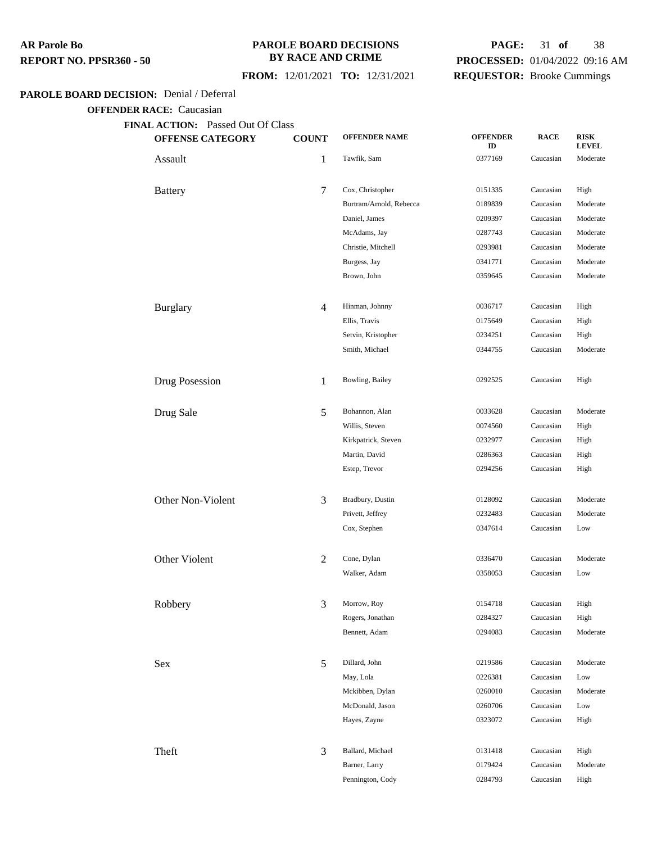#### **PAROLE BOARD DECISIONS BY RACE AND CRIME**

## **FROM:** 12/01/2021 **TO:** 12/31/2021

# **PAGE:** 31 **of** 38 **PROCESSED:** 01/04/2022 09:16 AM **REQUESTOR:** Brooke Cummings

#### **PAROLE BOARD DECISION:** Denial / Deferral

| <b>OFFENSE CATEGORY</b> | <b>COUNT</b>   | <b>OFFENDER NAME</b>    | <b>OFFENDER</b><br>ID | <b>RACE</b> | <b>RISK</b><br><b>LEVEL</b> |
|-------------------------|----------------|-------------------------|-----------------------|-------------|-----------------------------|
| Assault                 | $\mathbf{1}$   | Tawfik, Sam             | 0377169               | Caucasian   | Moderate                    |
| <b>Battery</b>          | $\overline{7}$ | Cox, Christopher        | 0151335               | Caucasian   | High                        |
|                         |                | Burtram/Arnold, Rebecca | 0189839               | Caucasian   | Moderate                    |
|                         |                | Daniel, James           | 0209397               | Caucasian   | Moderate                    |
|                         |                | McAdams, Jay            | 0287743               | Caucasian   | Moderate                    |
|                         |                | Christie, Mitchell      | 0293981               | Caucasian   | Moderate                    |
|                         |                | Burgess, Jay            | 0341771               | Caucasian   | Moderate                    |
|                         |                | Brown, John             | 0359645               | Caucasian   | Moderate                    |
| <b>Burglary</b>         | $\overline{4}$ | Hinman, Johnny          | 0036717               | Caucasian   | High                        |
|                         |                | Ellis, Travis           | 0175649               | Caucasian   | High                        |
|                         |                | Setvin, Kristopher      | 0234251               | Caucasian   | High                        |
|                         |                | Smith, Michael          | 0344755               | Caucasian   | Moderate                    |
| Drug Posession          | 1              | Bowling, Bailey         | 0292525               | Caucasian   | High                        |
| Drug Sale               | 5              | Bohannon, Alan          | 0033628               | Caucasian   | Moderate                    |
|                         |                | Willis, Steven          | 0074560               | Caucasian   | High                        |
|                         |                | Kirkpatrick, Steven     | 0232977               | Caucasian   | High                        |
|                         |                | Martin, David           | 0286363               | Caucasian   | High                        |
|                         |                | Estep, Trevor           | 0294256               | Caucasian   | High                        |
| Other Non-Violent       | 3              | Bradbury, Dustin        | 0128092               | Caucasian   | Moderate                    |
|                         |                | Privett, Jeffrey        | 0232483               | Caucasian   | Moderate                    |
|                         |                | Cox, Stephen            | 0347614               | Caucasian   | Low                         |
| Other Violent           | $\overline{2}$ | Cone, Dylan             | 0336470               | Caucasian   | Moderate                    |
|                         |                | Walker, Adam            | 0358053               | Caucasian   | Low                         |
| Robbery                 | 3              | Morrow, Roy             | 0154718               | Caucasian   | High                        |
|                         |                | Rogers, Jonathan        | 0284327               | Caucasian   | High                        |
|                         |                | Bennett, Adam           | 0294083               | Caucasian   | Moderate                    |
| Sex                     | 5              | Dillard, John           | 0219586               | Caucasian   | Moderate                    |
|                         |                | May, Lola               | 0226381               | Caucasian   | Low                         |
|                         |                | Mckibben, Dylan         | 0260010               | Caucasian   | Moderate                    |
|                         |                | McDonald, Jason         | 0260706               | Caucasian   | Low                         |
|                         |                | Hayes, Zayne            | 0323072               | Caucasian   | High                        |
| Theft                   | 3              | Ballard, Michael        | 0131418               | Caucasian   | High                        |
|                         |                | Barner, Larry           | 0179424               | Caucasian   | Moderate                    |
|                         |                | Pennington, Cody        | 0284793               | Caucasian   | High                        |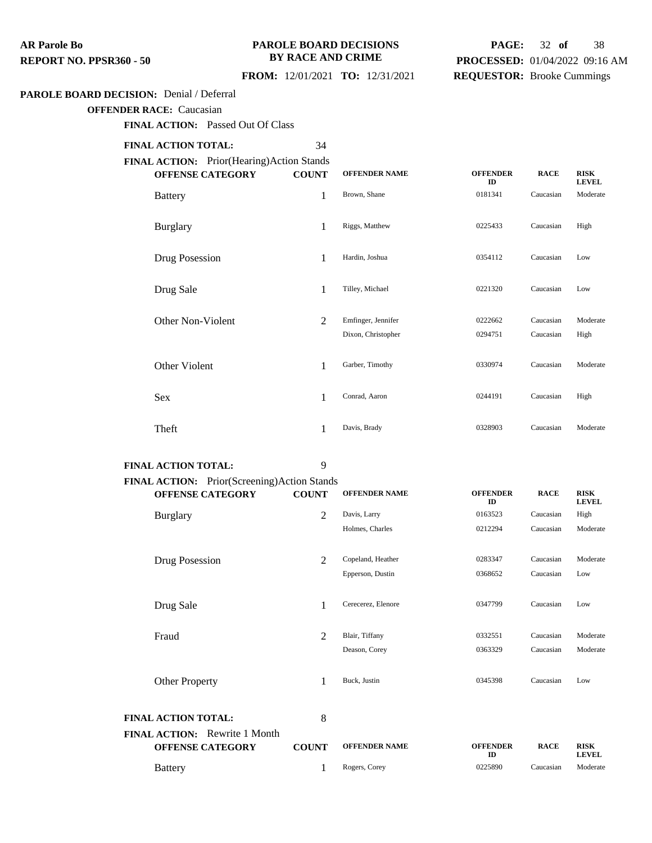#### **PAROLE BOARD DECISIONS BY RACE AND CRIME**

# **PAGE:** 32 **of** 38 **PROCESSED:** 01/04/2022 09:16 AM **REQUESTOR:** Brooke Cummings

## **FROM:** 12/01/2021 **TO:** 12/31/2021

#### **PAROLE BOARD DECISION:** Denial / Deferral

**OFFENDER RACE:** Caucasian

**FINAL ACTION:** Passed Out Of Class

## **FINAL ACTION TOTAL:** 34

**FINAL ACTION:** Prior(Hearing)Action Stands

| <b>OFFENSE CATEGORY</b>  | <b>COUNT</b> | <b>OFFENDER NAME</b>                     | <b>OFFENDER</b><br>ID | <b>RACE</b>            | <b>RISK</b><br><b>LEVEL</b> |
|--------------------------|--------------|------------------------------------------|-----------------------|------------------------|-----------------------------|
| <b>Battery</b>           | 1            | Brown, Shane                             | 0181341               | Caucasian              | Moderate                    |
| <b>Burglary</b>          | 1            | Riggs, Matthew                           | 0225433               | Caucasian              | High                        |
| Drug Posession           | 1            | Hardin, Joshua                           | 0354112               | Caucasian              | Low                         |
| Drug Sale                | 1            | Tilley, Michael                          | 0221320               | Caucasian              | Low                         |
| <b>Other Non-Violent</b> | 2            | Emfinger, Jennifer<br>Dixon, Christopher | 0222662<br>0294751    | Caucasian<br>Caucasian | Moderate<br>High            |
| Other Violent            | 1            | Garber, Timothy                          | 0330974               | Caucasian              | Moderate                    |
| Sex                      | 1            | Conrad, Aaron                            | 0244191               | Caucasian              | High                        |
| Theft                    | 1            | Davis, Brady                             | 0328903               | Caucasian              | Moderate                    |

## **FINAL ACTION TOTAL:** 9

| <b>FINAL ACTION:</b> Prior(Screening)Action Stands              |                |                      |                       |             |                             |
|-----------------------------------------------------------------|----------------|----------------------|-----------------------|-------------|-----------------------------|
| <b>OFFENSE CATEGORY</b>                                         | <b>COUNT</b>   | <b>OFFENDER NAME</b> | <b>OFFENDER</b><br>ID | <b>RACE</b> | <b>RISK</b><br><b>LEVEL</b> |
| <b>Burglary</b>                                                 | $\overline{2}$ | Davis, Larry         | 0163523               | Caucasian   | High                        |
|                                                                 |                | Holmes, Charles      | 0212294               | Caucasian   | Moderate                    |
| Drug Posession                                                  | $\overline{2}$ | Copeland, Heather    | 0283347               | Caucasian   | Moderate                    |
|                                                                 |                | Epperson, Dustin     | 0368652               | Caucasian   | Low                         |
| Drug Sale                                                       | 1              | Cerecerez, Elenore   | 0347799               | Caucasian   | Low                         |
| Fraud                                                           | $\overline{2}$ | Blair, Tiffany       | 0332551               | Caucasian   | Moderate                    |
|                                                                 |                | Deason, Corey        | 0363329               | Caucasian   | Moderate                    |
| <b>Other Property</b>                                           | 1              | Buck, Justin         | 0345398               | Caucasian   | Low                         |
| <b>FINAL ACTION TOTAL:</b>                                      | 8              |                      |                       |             |                             |
| <b>FINAL ACTION:</b> Rewrite 1 Month<br><b>OFFENSE CATEGORY</b> | <b>COUNT</b>   | <b>OFFENDER NAME</b> | <b>OFFENDER</b><br>ID | <b>RACE</b> | <b>RISK</b><br><b>LEVEL</b> |
| <b>Battery</b>                                                  | 1              | Rogers, Corey        | 0225890               | Caucasian   | Moderate                    |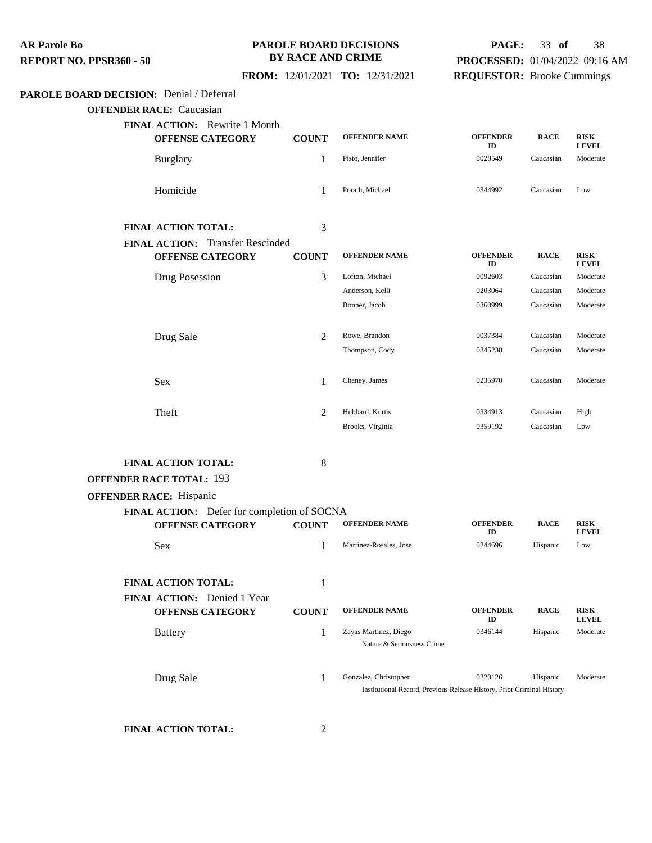#### **PAROLE BOARD DECISIONS BY RACE AND CRIME**

## **FROM:** 12/01/2021 **TO:** 12/31/2021

# **PAGE:** 33 **of** 38 **PROCESSED:** 01/04/2022 09:16 AM

# **REQUESTOR:** Brooke Cummings

## **PAROLE BOARD DECISION:** Denial / Deferral

**OFFENDER RACE:** Caucasian

| <b>Burglary</b><br>Homicide<br><b>FINAL ACTION TOTAL:</b><br><b>FINAL ACTION:</b> Transfer Rescinded<br><b>OFFENSE CATEGORY</b><br>Drug Posession<br>Drug Sale | 1<br>1<br>3<br><b>COUNT</b><br>3<br>2<br>1                                                                                                                                                                                      | Pisto, Jennifer<br>Porath, Michael<br><b>OFFENDER NAME</b><br>Lofton, Michael<br>Anderson, Kelli<br>Bonner, Jacob<br>Rowe, Brandon<br>Thompson, Cody | 0028549<br>0344992<br><b>OFFENDER</b><br>ID<br>0092603<br>0203064<br>0360999<br>0037384<br>0345238 | Caucasian<br>Caucasian<br><b>RACE</b><br>Caucasian<br>Caucasian<br>Caucasian<br>Caucasian<br>Caucasian | Moderate<br>Low<br><b>RISK</b><br><b>LEVEL</b><br>Moderate<br>Moderate<br>Moderate<br>Moderate<br>Moderate |
|----------------------------------------------------------------------------------------------------------------------------------------------------------------|---------------------------------------------------------------------------------------------------------------------------------------------------------------------------------------------------------------------------------|------------------------------------------------------------------------------------------------------------------------------------------------------|----------------------------------------------------------------------------------------------------|--------------------------------------------------------------------------------------------------------|------------------------------------------------------------------------------------------------------------|
|                                                                                                                                                                |                                                                                                                                                                                                                                 |                                                                                                                                                      |                                                                                                    |                                                                                                        |                                                                                                            |
|                                                                                                                                                                |                                                                                                                                                                                                                                 |                                                                                                                                                      |                                                                                                    |                                                                                                        |                                                                                                            |
|                                                                                                                                                                |                                                                                                                                                                                                                                 |                                                                                                                                                      |                                                                                                    |                                                                                                        |                                                                                                            |
|                                                                                                                                                                |                                                                                                                                                                                                                                 |                                                                                                                                                      |                                                                                                    |                                                                                                        |                                                                                                            |
|                                                                                                                                                                |                                                                                                                                                                                                                                 |                                                                                                                                                      |                                                                                                    |                                                                                                        |                                                                                                            |
|                                                                                                                                                                |                                                                                                                                                                                                                                 |                                                                                                                                                      |                                                                                                    |                                                                                                        |                                                                                                            |
|                                                                                                                                                                |                                                                                                                                                                                                                                 |                                                                                                                                                      |                                                                                                    |                                                                                                        |                                                                                                            |
|                                                                                                                                                                |                                                                                                                                                                                                                                 |                                                                                                                                                      |                                                                                                    |                                                                                                        |                                                                                                            |
|                                                                                                                                                                |                                                                                                                                                                                                                                 |                                                                                                                                                      |                                                                                                    |                                                                                                        |                                                                                                            |
|                                                                                                                                                                |                                                                                                                                                                                                                                 |                                                                                                                                                      |                                                                                                    |                                                                                                        |                                                                                                            |
|                                                                                                                                                                |                                                                                                                                                                                                                                 | Chaney, James                                                                                                                                        | 0235970                                                                                            | Caucasian                                                                                              | Moderate                                                                                                   |
|                                                                                                                                                                | 2                                                                                                                                                                                                                               | Hubbard, Kurtis                                                                                                                                      | 0334913                                                                                            | Caucasian                                                                                              | High                                                                                                       |
|                                                                                                                                                                |                                                                                                                                                                                                                                 | Brooks, Virginia                                                                                                                                     | 0359192                                                                                            | Caucasian                                                                                              | Low                                                                                                        |
|                                                                                                                                                                | 8                                                                                                                                                                                                                               |                                                                                                                                                      |                                                                                                    |                                                                                                        |                                                                                                            |
|                                                                                                                                                                |                                                                                                                                                                                                                                 |                                                                                                                                                      |                                                                                                    |                                                                                                        |                                                                                                            |
|                                                                                                                                                                |                                                                                                                                                                                                                                 |                                                                                                                                                      |                                                                                                    |                                                                                                        |                                                                                                            |
|                                                                                                                                                                | <b>COUNT</b>                                                                                                                                                                                                                    | <b>OFFENDER NAME</b>                                                                                                                                 | <b>OFFENDER</b>                                                                                    | <b>RACE</b>                                                                                            | <b>RISK</b>                                                                                                |
|                                                                                                                                                                | 1                                                                                                                                                                                                                               | Martinez-Rosales, Jose                                                                                                                               | 0244696                                                                                            | Hispanic                                                                                               | <b>LEVEL</b><br>Low                                                                                        |
|                                                                                                                                                                |                                                                                                                                                                                                                                 |                                                                                                                                                      |                                                                                                    |                                                                                                        |                                                                                                            |
|                                                                                                                                                                |                                                                                                                                                                                                                                 |                                                                                                                                                      |                                                                                                    |                                                                                                        |                                                                                                            |
|                                                                                                                                                                | <b>COUNT</b>                                                                                                                                                                                                                    | <b>OFFENDER NAME</b>                                                                                                                                 | <b>OFFENDER</b><br>ID                                                                              | <b>RACE</b>                                                                                            | <b>RISK</b><br><b>LEVEL</b>                                                                                |
|                                                                                                                                                                | 1                                                                                                                                                                                                                               | Zayas Martinez, Diego<br>Nature & Seriousness Crime                                                                                                  | 0346144                                                                                            | Hispanic                                                                                               | Moderate                                                                                                   |
|                                                                                                                                                                | 1                                                                                                                                                                                                                               | Gonzalez, Christopher                                                                                                                                | 0220126                                                                                            | Hispanic                                                                                               | Moderate                                                                                                   |
| <b>Battery</b>                                                                                                                                                 | <b>FINAL ACTION TOTAL:</b><br><b>OFFENDER RACE TOTAL: 193</b><br><b>OFFENDER RACE: Hispanic</b><br><b>OFFENSE CATEGORY</b><br><b>FINAL ACTION TOTAL:</b><br>FINAL ACTION: Denied 1 Year<br><b>OFFENSE CATEGORY</b><br>Drug Sale | 1                                                                                                                                                    | FINAL ACTION: Defer for completion of SOCNA                                                        | ID                                                                                                     | Institutional Record, Previous Release History, Prior Criminal History                                     |

**FINAL ACTION TOTAL:** 2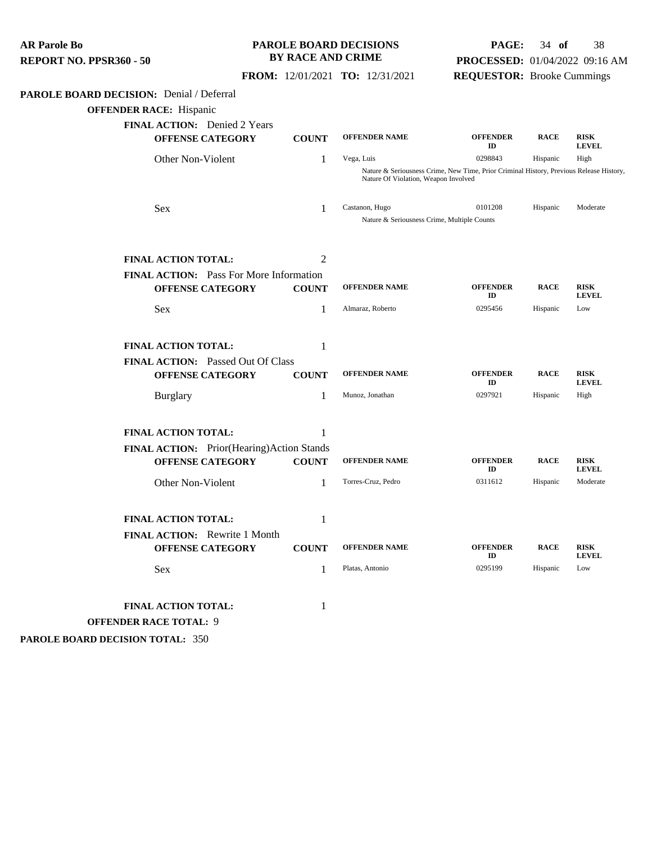| <b>AR Parole Bo</b><br>REPORT NO. PPSR360 - 50                                                                                        | <b>BY RACE AND CRIME</b> | <b>PAROLE BOARD DECISIONS</b>                                 | PAGE:<br>PROCESSED: 01/04/2022 09:16 AM                                                 | $34$ of     | 38                          |
|---------------------------------------------------------------------------------------------------------------------------------------|--------------------------|---------------------------------------------------------------|-----------------------------------------------------------------------------------------|-------------|-----------------------------|
|                                                                                                                                       |                          | FROM: 12/01/2021 TO: 12/31/2021                               | <b>REQUESTOR:</b> Brooke Cummings                                                       |             |                             |
| PAROLE BOARD DECISION: Denial / Deferral<br><b>OFFENDER RACE:</b> Hispanic<br>FINAL ACTION: Denied 2 Years<br><b>OFFENSE CATEGORY</b> | <b>COUNT</b>             | <b>OFFENDER NAME</b>                                          | <b>OFFENDER</b><br>ID                                                                   | <b>RACE</b> | <b>RISK</b><br><b>LEVEL</b> |
| Other Non-Violent                                                                                                                     | $\mathbf{1}$             | Vega, Luis                                                    | 0298843                                                                                 | Hispanic    | High                        |
|                                                                                                                                       |                          | Nature Of Violation, Weapon Involved                          | Nature & Seriousness Crime, New Time, Prior Criminal History, Previous Release History, |             |                             |
| Sex                                                                                                                                   | 1                        | Castanon, Hugo<br>Nature & Seriousness Crime, Multiple Counts | 0101208                                                                                 | Hispanic    | Moderate                    |
| <b>FINAL ACTION TOTAL:</b>                                                                                                            | 2                        |                                                               |                                                                                         |             |                             |
| FINAL ACTION: Pass For More Information<br><b>OFFENSE CATEGORY</b>                                                                    | <b>COUNT</b>             | <b>OFFENDER NAME</b>                                          | <b>OFFENDER</b><br>ID                                                                   | <b>RACE</b> | <b>RISK</b><br><b>LEVEL</b> |
| Sex                                                                                                                                   | 1                        | Almaraz, Roberto                                              | 0295456                                                                                 | Hispanic    | Low                         |
| <b>FINAL ACTION TOTAL:</b><br>FINAL ACTION: Passed Out Of Class                                                                       | 1                        |                                                               |                                                                                         |             |                             |
| <b>OFFENSE CATEGORY</b>                                                                                                               | <b>COUNT</b>             | <b>OFFENDER NAME</b>                                          | <b>OFFENDER</b><br>ID                                                                   | <b>RACE</b> | <b>RISK</b><br><b>LEVEL</b> |
| <b>Burglary</b>                                                                                                                       | 1                        | Munoz, Jonathan                                               | 0297921                                                                                 | Hispanic    | High                        |
| <b>FINAL ACTION TOTAL:</b>                                                                                                            | 1                        |                                                               |                                                                                         |             |                             |
| FINAL ACTION: Prior(Hearing)Action Stands<br><b>OFFENSE CATEGORY</b>                                                                  | <b>COUNT</b>             | <b>OFFENDER NAME</b>                                          | <b>OFFENDER</b><br>ID                                                                   | <b>RACE</b> | <b>RISK</b><br><b>LEVEL</b> |
| Other Non-Violent                                                                                                                     | 1                        | Torres-Cruz, Pedro                                            | 0311612                                                                                 | Hispanic    | Moderate                    |
| <b>FINAL ACTION TOTAL:</b>                                                                                                            | 1                        |                                                               |                                                                                         |             |                             |
| FINAL ACTION: Rewrite 1 Month<br><b>OFFENSE CATEGORY</b>                                                                              | <b>COUNT</b>             | <b>OFFENDER NAME</b>                                          | <b>OFFENDER</b><br>ID                                                                   | <b>RACE</b> | <b>RISK</b><br><b>LEVEL</b> |
| Sex                                                                                                                                   | $\mathbf{1}$             | Platas, Antonio                                               | 0295199                                                                                 | Hispanic    | Low                         |
| <b>FINAL ACTION TOTAL:</b><br><b>OFFENDER RACE TOTAL: 9</b>                                                                           | 1                        |                                                               |                                                                                         |             |                             |

**PAROLE BOARD DECISION TOTAL:** 350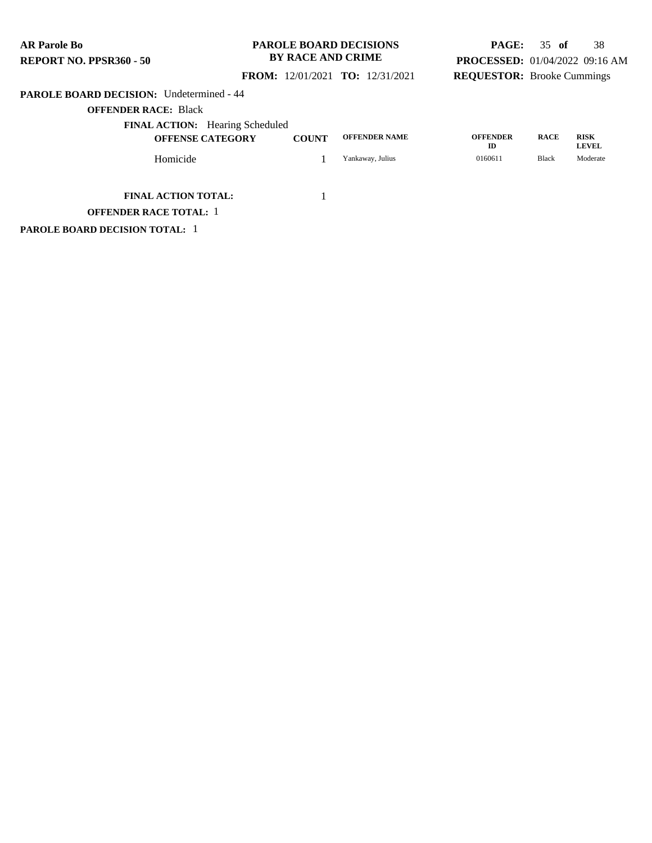#### **PAROLE BOARD DECISIONS BY RACE AND CRIME**

# **PAGE:** 35 **of** 38 **PROCESSED:** 01/04/2022 09:16 AM **REQUESTOR:** Brooke Cummings

## **FROM:** 12/01/2021 **TO:** 12/31/2021

#### **PAROLE BOARD DECISION:** Undetermined - 44

**OFFENDER RACE:** Black

| <b>FINAL ACTION:</b> Hearing Scheduled<br><b>OFFENSE CATEGORY</b> | <b>COUNT</b> | <b>OFFENDER NAME</b> | <b>OFFENDER</b><br>ID | <b>RACE</b> | <b>RISK</b><br><b>LEVEL</b> |
|-------------------------------------------------------------------|--------------|----------------------|-----------------------|-------------|-----------------------------|
| Homicide                                                          |              | Yankaway, Julius     | 0160611               | Black       | Moderate                    |

**FINAL ACTION TOTAL:** 1

**OFFENDER RACE TOTAL:** 1

**PAROLE BOARD DECISION TOTAL:** 1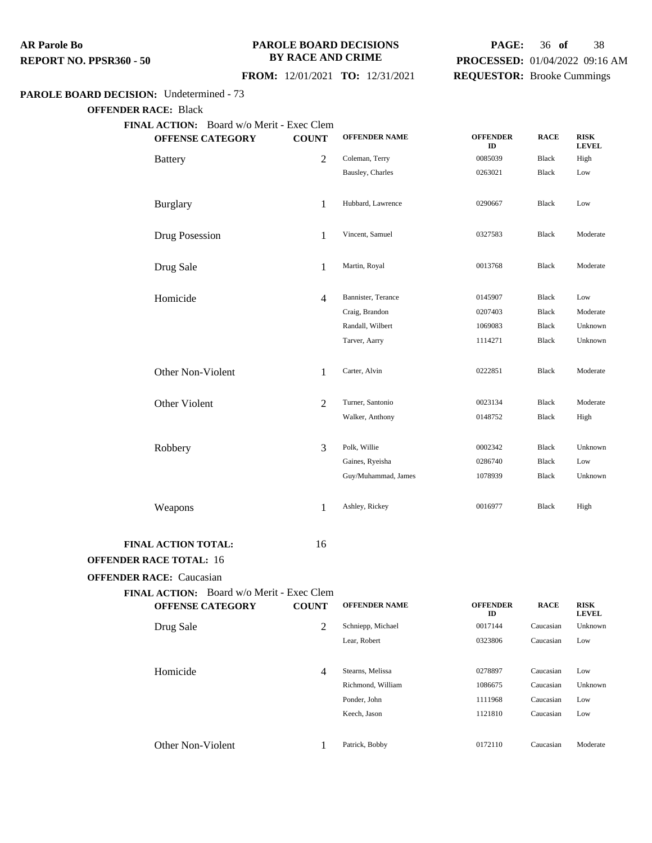#### **PAROLE BOARD DECISIONS BY RACE AND CRIME**

## **PAGE:** 36 **of** 38 **PROCESSED:** 01/04/2022 09:16 AM **REQUESTOR:** Brooke Cummings

#### **FROM:** 12/01/2021 **TO:** 12/31/2021

#### **PAROLE BOARD DECISION:** Undetermined - 73

**OFFENDER RACE:** Black

**FINAL ACTION:** Board w/o Merit - Exec Clem **OFFENSE CATEGORY COUNT OFFENDER NAME OFFENDER ID RACE RISK LEVEL** Battery **2** Coleman, Terry 0085039 Black High Bausley, Charles 0263021 Black Low Burglary 1 Hubbard, Lawrence <sup>0290667</sup> Black Low Drug Posession 1 Vincent, Samuel 0327583 Black Moderate Drug Sale 1 Martin, Royal <sup>0013768</sup> Black Moderate Homicide 4 Bannister, Terance 0145907 Black Low Craig, Brandon 0207403 Black Moderate Randall, Wilbert 1069083 Black Unknown Tarver, Aarry 1114271 Black Unknown Other Non-Violent 1 Carter, Alvin 0222851 Black Moderate Other Violent 2 Turner, Santonio 0023134 Black Moderate Walker, Anthony 0148752 Black High Robbery 3 Polk, Willie 20002342 Black Unknown Gaines, Ryeisha  $0286740$  Black Low Guy/Muhammad, James 1078939 Black Unknown Weapons 1 Ashley, Rickey 0016977 Black High **FINAL ACTION TOTAL:** 16 **OFFENDER RACE TOTAL:** 16 **OFFENDER RACE:** Caucasian

|                   | <b>FINAL ACTION:</b> Board w/o Merit - Exec Clem |                |                      |                       |             |                             |
|-------------------|--------------------------------------------------|----------------|----------------------|-----------------------|-------------|-----------------------------|
|                   | <b>OFFENSE CATEGORY</b>                          | <b>COUNT</b>   | <b>OFFENDER NAME</b> | <b>OFFENDER</b><br>ID | <b>RACE</b> | <b>RISK</b><br><b>LEVEL</b> |
| Drug Sale         |                                                  | 2              | Schniepp, Michael    | 0017144               | Caucasian   | Unknown                     |
|                   |                                                  |                | Lear, Robert         | 0323806               | Caucasian   | Low                         |
|                   |                                                  |                |                      |                       |             |                             |
| Homicide          |                                                  | $\overline{4}$ | Stearns, Melissa     | 0278897               | Caucasian   | Low                         |
|                   |                                                  |                | Richmond, William    | 1086675               | Caucasian   | Unknown                     |
|                   |                                                  |                | Ponder, John         | 1111968               | Caucasian   | Low                         |
|                   |                                                  |                | Keech, Jason         | 1121810               | Caucasian   | Low                         |
|                   |                                                  |                |                      |                       |             |                             |
| Other Non-Violent |                                                  |                | Patrick, Bobby       | 0172110               | Caucasian   | Moderate                    |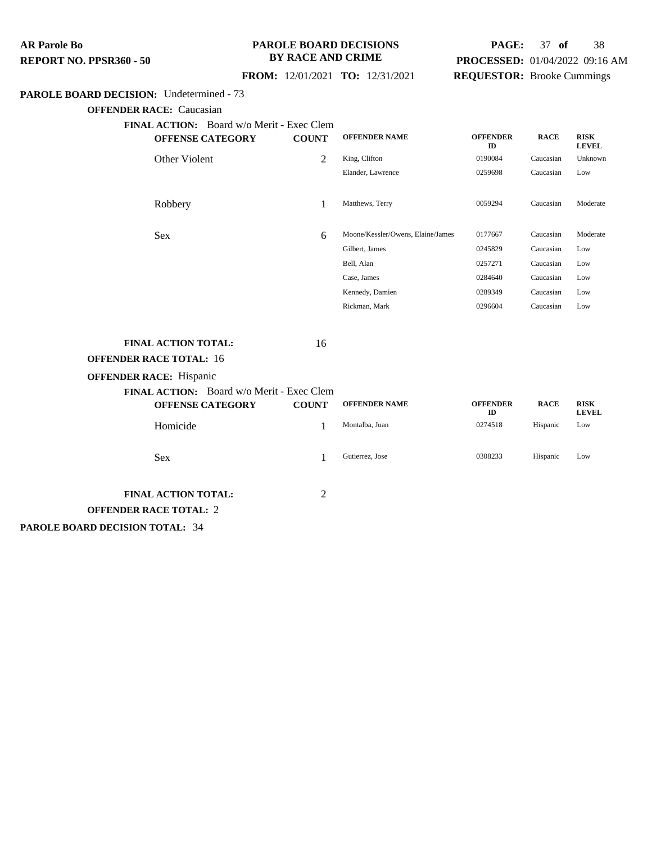#### **PAROLE BOARD DECISIONS BY RACE AND CRIME**

# **PAGE:** 37 **of** 38 **PROCESSED:** 01/04/2022 09:16 AM **REQUESTOR:** Brooke Cummings

## **FROM:** 12/01/2021 **TO:** 12/31/2021

#### **PAROLE BOARD DECISION:** Undetermined - 73

**OFFENDER RACE:** Caucasian

**FINAL ACTION:** Board w/o Merit - Exec Clem

| <b>OFFENSE CATEGORY</b>                                              | <b>COUNT</b>   | <b>OFFENDER NAME</b>              | <b>OFFENDER</b><br>ID | <b>RACE</b> | <b>RISK</b><br><b>LEVEL</b> |
|----------------------------------------------------------------------|----------------|-----------------------------------|-----------------------|-------------|-----------------------------|
| Other Violent                                                        | $\overline{2}$ | King, Clifton                     | 0190084               | Caucasian   | Unknown                     |
|                                                                      |                | Elander, Lawrence                 | 0259698               | Caucasian   | Low                         |
| Robbery                                                              | 1              | Matthews, Terry                   | 0059294               | Caucasian   | Moderate                    |
| Sex                                                                  | 6              | Moone/Kessler/Owens, Elaine/James | 0177667               | Caucasian   | Moderate                    |
|                                                                      |                | Gilbert, James                    | 0245829               | Caucasian   | Low                         |
|                                                                      |                | Bell, Alan                        | 0257271               | Caucasian   | Low                         |
|                                                                      |                | Case, James                       | 0284640               | Caucasian   | Low                         |
|                                                                      |                | Kennedy, Damien                   | 0289349               | Caucasian   | Low                         |
|                                                                      |                | Rickman, Mark                     | 0296604               | Caucasian   | Low                         |
| <b>FINAL ACTION TOTAL:</b><br><b>OFFENDER RACE TOTAL: 16</b>         | 16             |                                   |                       |             |                             |
| <b>OFFENDER RACE:</b> Hispanic                                       |                |                                   |                       |             |                             |
| FINAL ACTION: Board w/o Merit - Exec Clem<br><b>OFFENSE CATEGORY</b> | <b>COUNT</b>   | <b>OFFENDER NAME</b>              | <b>OFFENDER</b><br>ID | <b>RACE</b> | <b>RISK</b><br><b>LEVEL</b> |
| Homicide                                                             | 1              | Montalba, Juan                    | 0274518               | Hispanic    | Low                         |
|                                                                      |                |                                   |                       |             |                             |

Sex 1 Gutierrez, Jose 0308233 Hispanic Low

**FINAL ACTION TOTAL:** 2 **OFFENDER RACE TOTAL:** 2

**PAROLE BOARD DECISION TOTAL:** 34